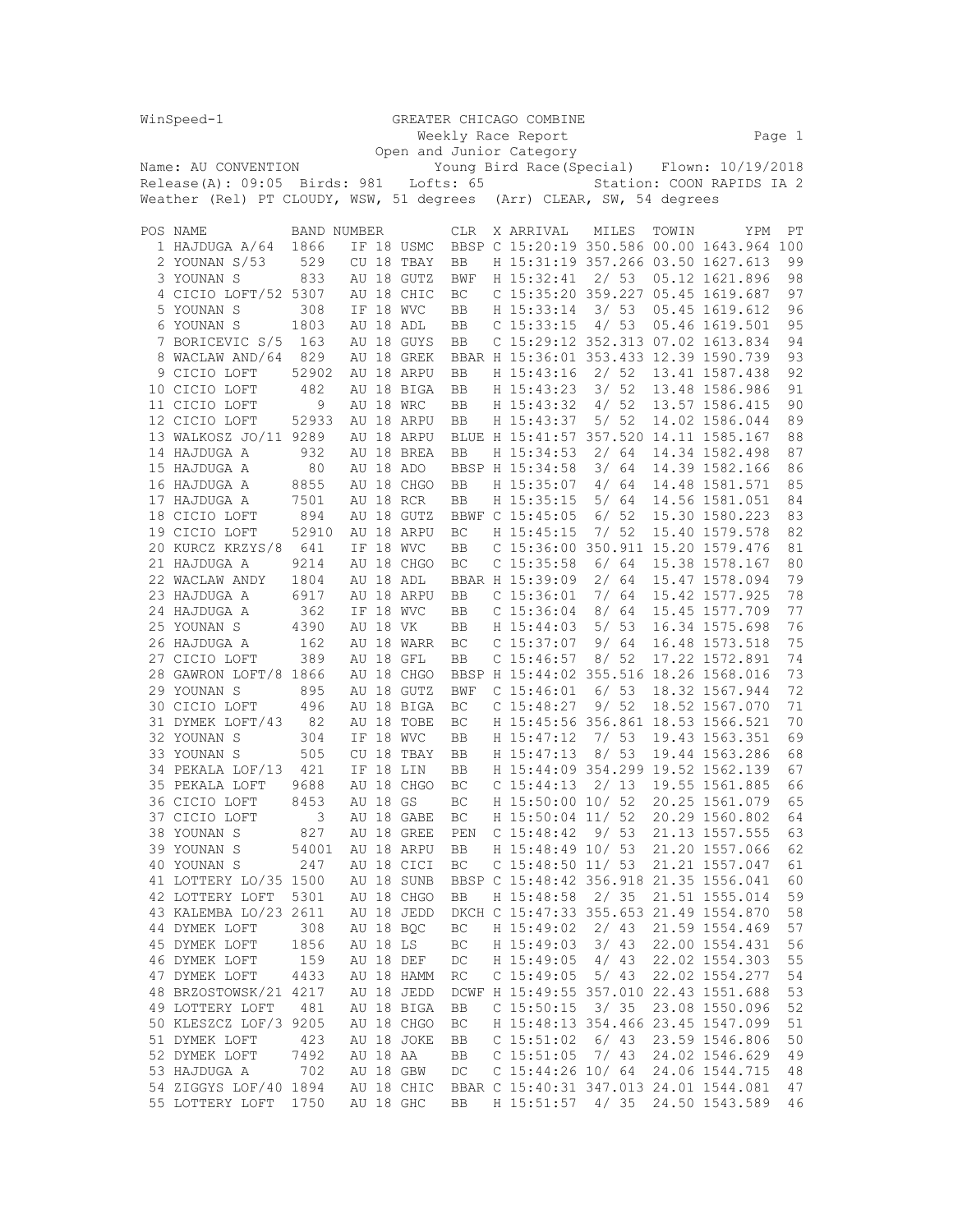|                                              | WinSpeed-1                               |                          |    |          | GREATER CHICAGO COMBINE |            |  |           |                       |      |       |                             |                                             |     |    |
|----------------------------------------------|------------------------------------------|--------------------------|----|----------|-------------------------|------------|--|-----------|-----------------------|------|-------|-----------------------------|---------------------------------------------|-----|----|
|                                              |                                          | Weekly Race Report       |    |          |                         |            |  |           |                       |      |       |                             | Page 1                                      |     |    |
|                                              |                                          | Open and Junior Category |    |          |                         |            |  |           |                       |      |       |                             |                                             |     |    |
|                                              | Name: AU CONVENTION                      |                          |    |          |                         |            |  |           |                       |      |       |                             | Young Bird Race (Special) Flown: 10/19/2018 |     |    |
| Release(A): 09:05<br>Birds: 981<br>Lofts: 65 |                                          |                          |    |          |                         |            |  |           |                       |      |       | Station: COON RAPIDS IA 2   |                                             |     |    |
|                                              | Weather (Rel) PT CLOUDY, WSW, 51 degrees |                          |    |          |                         |            |  |           |                       |      |       | (Arr) CLEAR, SW, 54 degrees |                                             |     |    |
|                                              |                                          |                          |    |          |                         |            |  |           |                       |      |       |                             |                                             |     |    |
|                                              | POS NAME                                 | <b>BAND NUMBER</b>       |    |          |                         | <b>CLR</b> |  | X ARRIVAL |                       |      | MILES | TOWIN                       |                                             | YPM | РT |
|                                              |                                          |                          |    |          |                         |            |  |           |                       |      |       |                             |                                             |     |    |
|                                              | 1 HAJDUGA A/64                           | 1866                     |    |          | IF 18 USMC              |            |  |           |                       |      |       |                             | BBSP C 15:20:19 350.586 00.00 1643.964 100  |     |    |
|                                              | 2 YOUNAN S/53                            | 529                      |    |          | CU 18 TBAY              | BB         |  |           |                       |      |       |                             | H 15:31:19 357.266 03.50 1627.613           |     | 99 |
|                                              | 3 YOUNAN S                               | 833                      |    |          | AU 18 GUTZ              | <b>BWF</b> |  |           | H 15:32:41            |      | 2/53  |                             | 05.12 1621.896                              |     | 98 |
|                                              | 4 CICIO LOFT/52 5307                     |                          |    |          | AU 18 CHIC              | BC         |  |           |                       |      |       |                             | C 15:35:20 359.227 05.45 1619.687           |     | 97 |
|                                              | 5 YOUNAN S                               | 308                      |    |          | IF 18 WVC               | BB         |  |           | H 15:33:14            |      | 3/53  |                             | 05.45 1619.612                              |     | 96 |
|                                              | 6 YOUNAN S                               | 1803                     |    |          | AU 18 ADL               | BB         |  |           | $C$ 15:33:15          | 4/   | 53    |                             | 05.46 1619.501                              |     | 95 |
|                                              | 7 BORICEVIC S/5                          | 163                      |    |          | AU 18 GUYS              | BB         |  |           |                       |      |       |                             | C 15:29:12 352.313 07.02 1613.834           |     | 94 |
| 8                                            | WACLAW AND/64                            | 829                      |    |          | AU 18 GREK              |            |  |           |                       |      |       |                             | BBAR H 15:36:01 353.433 12.39 1590.739      |     | 93 |
|                                              | 9 CICIO LOFT                             | 52902                    |    |          | AU 18 ARPU              | BB         |  |           | H 15:43:16            |      | 2/52  |                             | 13.41 1587.438                              |     | 92 |
|                                              | 10 CICIO LOFT                            | 482                      |    |          | AU 18 BIGA              | BB         |  |           | H 15:43:23            |      | 3/52  |                             | 13.48 1586.986                              |     | 91 |
|                                              | 11 CICIO LOFT                            | 9                        |    |          | AU 18 WRC               | BB         |  |           | H 15:43:32            |      | 4/52  |                             | 13.57 1586.415                              |     | 90 |
|                                              |                                          |                          |    |          |                         |            |  |           |                       |      |       |                             |                                             |     |    |
|                                              | 12 CICIO LOFT                            | 52933                    |    |          | AU 18 ARPU              | BB         |  |           | H 15:43:37            |      | 5/52  |                             | 14.02 1586.044                              |     | 89 |
|                                              | 13 WALKOSZ JO/11 9289                    |                          |    |          | AU 18 ARPU              |            |  |           |                       |      |       |                             | BLUE H 15:41:57 357.520 14.11 1585.167      |     | 88 |
|                                              | 14 HAJDUGA A                             | 932                      |    |          | AU 18 BREA              | BB         |  |           | H 15:34:53            |      | 2/64  |                             | 14.34 1582.498                              |     | 87 |
|                                              | 15 HAJDUGA A                             | 80                       |    |          | AU 18 ADO               |            |  |           | BBSP H 15:34:58       |      | 3/64  |                             | 14.39 1582.166                              |     | 86 |
|                                              | 16 HAJDUGA A                             | 8855                     |    |          | AU 18 CHGO              | BB         |  |           | H 15:35:07            | 4/   | 64    |                             | 14.48 1581.571                              |     | 85 |
|                                              | 17 HAJDUGA A                             | 7501                     |    |          | AU 18 RCR               | BB         |  |           | H 15:35:15            |      | 5/ 64 |                             | 14.56 1581.051                              |     | 84 |
|                                              | 18 CICIO LOFT                            | 894                      |    |          | AU 18 GUTZ              |            |  |           | BBWF C 15:45:05       |      | 6/52  |                             | 15.30 1580.223                              |     | 83 |
|                                              | 19 CICIO LOFT                            | 52910                    |    |          | AU 18 ARPU              | BC         |  |           | H 15:45:15            | 7/   | -52   |                             | 15.40 1579.578                              |     | 82 |
|                                              | 20 KURCZ KRZYS/8                         | 641                      |    |          | IF 18 WVC               | BB         |  |           |                       |      |       |                             | C 15:36:00 350.911 15.20 1579.476           |     | 81 |
|                                              | 21 HAJDUGA A                             | 9214                     |    |          | AU 18 CHGO              | BC         |  |           | C <sub>15:35:58</sub> |      | 6/64  |                             | 15.38 1578.167                              |     | 80 |
|                                              | 22 WACLAW ANDY                           | 1804                     |    |          | AU 18 ADL               |            |  |           | BBAR H 15:39:09       |      | 2/64  |                             | 15.47 1578.094                              |     | 79 |
|                                              | 23 HAJDUGA A                             | 6917                     |    |          | AU 18 ARPU              | BB         |  |           | C <sub>15:36:01</sub> | 7/   | 64    |                             | 15.42 1577.925                              |     | 78 |
|                                              | 24 HAJDUGA A                             | 362                      |    |          | IF 18 WVC               | BB         |  |           | C <sub>15:36:04</sub> |      | 8/64  |                             | 15.45 1577.709                              |     | 77 |
|                                              |                                          |                          |    |          |                         |            |  |           | H 15:44:03            |      | 5/53  |                             | 16.34 1575.698                              |     | 76 |
|                                              | 25 YOUNAN S                              | 4390                     |    | AU 18 VK |                         | BB         |  |           |                       |      |       |                             |                                             |     |    |
|                                              | 26 HAJDUGA A                             | 162                      |    |          | AU 18 WARR              | ВC         |  |           | $C$ 15:37:07          | 9/   | 64    |                             | 16.48 1573.518                              |     | 75 |
|                                              | 27 CICIO LOFT                            | 389                      |    |          | AU 18 GFL               | BB         |  |           | C <sub>15:46:57</sub> |      | 8/52  |                             | 17.22 1572.891                              |     | 74 |
|                                              | 28 GAWRON LOFT/8                         | 1866                     |    |          | AU 18 CHGO              |            |  |           |                       |      |       |                             | BBSP H 15:44:02 355.516 18.26 1568.016      |     | 73 |
|                                              | 29 YOUNAN S                              | 895                      |    |          | AU 18 GUTZ              | <b>BWF</b> |  |           | C <sub>15:46:01</sub> | 6 /  | 53    |                             | 18.32 1567.944                              |     | 72 |
|                                              | 30 CICIO LOFT                            | 496                      |    |          | AU 18 BIGA              | BC         |  |           | C <sub>15:48:27</sub> |      | 9/52  |                             | 18.52 1567.070                              |     | 71 |
|                                              | 31 DYMEK LOFT/43                         | 82                       |    |          | AU 18 TOBE              | BC         |  |           |                       |      |       |                             | H 15:45:56 356.861 18.53 1566.521           |     | 70 |
|                                              | 32 YOUNAN S                              | 304                      |    |          | IF 18 WVC               | BB         |  |           | H 15:47:12            |      | 7/53  |                             | 19.43 1563.351                              |     | 69 |
|                                              | 33 YOUNAN S                              | 505                      | CU | 18       | TBAY                    | BB         |  |           | H 15:47:13            |      | 8/53  |                             | 19.44 1563.286                              |     | 68 |
|                                              | 34 PEKALA LOF/13                         | 421                      | ΙF |          | 18 LIN                  | BB         |  |           |                       |      |       |                             | H 15:44:09 354.299 19.52 1562.139           |     | 67 |
|                                              | 35 PEKALA LOFT                           | 9688                     | AU |          | 18 CHGO                 | BC         |  |           | C <sub>15:44:13</sub> |      | 2/ 13 |                             | 19.55 1561.885                              |     | 66 |
|                                              | 36 CICIO LOFT                            | 8453                     |    | AU 18 GS |                         | BC         |  |           | H 15:50:00 10/ 52     |      |       |                             | 20.25 1561.079                              |     | 65 |
|                                              | 37 CICIO LOFT                            | 3                        |    |          | AU 18 GABE              | ВC         |  |           | H 15:50:04 11/ 52     |      |       |                             | 20.29 1560.802                              |     | 64 |
|                                              | 38 YOUNAN S                              | 827                      |    |          | AU 18 GREE              | PEN        |  |           | C <sub>15:48:42</sub> | 9/53 |       |                             | 21.13 1557.555                              |     | 63 |
|                                              | 39 YOUNAN S                              | 54001                    |    |          | AU 18 ARPU              | BB         |  |           | H 15:48:49 10/ 53     |      |       |                             | 21.20 1557.066                              |     | 62 |
|                                              | 40 YOUNAN S                              | 247                      |    |          | AU 18 CICI              | BC         |  |           | C $15:48:50$ $11/53$  |      |       |                             | 21.21 1557.047                              |     | 61 |
|                                              | 41 LOTTERY LO/35 1500                    |                          |    |          | AU 18 SUNB              |            |  |           |                       |      |       |                             | BBSP C 15:48:42 356.918 21.35 1556.041      |     | 60 |
|                                              | 42 LOTTERY LOFT                          | 5301                     |    |          | AU 18 CHGO              | BB         |  |           | H 15:48:58            | 2/35 |       |                             | 21.51 1555.014                              |     | 59 |
|                                              | 43 KALEMBA LO/23 2611                    |                          |    |          | AU 18 JEDD              |            |  |           |                       |      |       |                             | DKCH C 15:47:33 355.653 21.49 1554.870      |     | 58 |
|                                              | 44 DYMEK LOFT                            | 308                      |    |          | AU 18 BQC               | BC         |  |           | H 15:49:02            |      | 2/43  |                             | 21.59 1554.469                              |     | 57 |
|                                              | 45 DYMEK LOFT                            | 1856                     |    | AU 18 LS |                         | ВC         |  |           | H 15:49:03            |      | 3/43  |                             | 22.00 1554.431                              |     | 56 |
|                                              | 46 DYMEK LOFT                            |                          |    |          |                         |            |  |           |                       |      |       |                             | 22.02 1554.303                              |     |    |
|                                              |                                          | 159                      |    |          | AU 18 DEF               | DC         |  |           | H 15:49:05            |      | 4/43  |                             |                                             |     | 55 |
|                                              | 47 DYMEK LOFT                            | 4433                     |    |          | AU 18 HAMM              | RC         |  |           | C <sub>15:49:05</sub> |      | 5/ 43 |                             | 22.02 1554.277                              |     | 54 |
|                                              | 48 BRZOSTOWSK/21 4217                    |                          |    |          | AU 18 JEDD              |            |  |           |                       |      |       |                             | DCWF H 15:49:55 357.010 22.43 1551.688      |     | 53 |
|                                              | 49 LOTTERY LOFT                          | 481                      |    |          | AU 18 BIGA              | BB         |  |           | $C$ 15:50:15          |      | 3/35  |                             | 23.08 1550.096                              |     | 52 |
|                                              | 50 KLESZCZ LOF/3 9205                    |                          |    |          | AU 18 CHGO              | BC         |  |           |                       |      |       |                             | H 15:48:13 354.466 23.45 1547.099           |     | 51 |
|                                              | 51 DYMEK LOFT                            | 423                      |    |          | AU 18 JOKE              | BB         |  |           | $C$ 15:51:02          |      | 6/43  |                             | 23.59 1546.806                              |     | 50 |
|                                              | 52 DYMEK LOFT                            | 7492                     |    |          | AU 18 AA                | BB         |  |           | $C$ 15:51:05          |      | 7/43  |                             | 24.02 1546.629                              |     | 49 |
|                                              | 53 HAJDUGA A                             | 702                      |    |          | AU 18 GBW               | DC         |  |           | C $15:44:26$ 10/64    |      |       |                             | 24.06 1544.715                              |     | 48 |
|                                              | 54 ZIGGYS LOF/40 1894                    |                          |    |          | AU 18 CHIC              |            |  |           |                       |      |       |                             | BBAR C 15:40:31 347.013 24.01 1544.081      |     | 47 |
|                                              | 55 LOTTERY LOFT                          | 1750                     |    |          | AU 18 GHC               | BB         |  |           | H 15:51:57            |      |       |                             | 4/ 35 24.50 1543.589                        |     | 46 |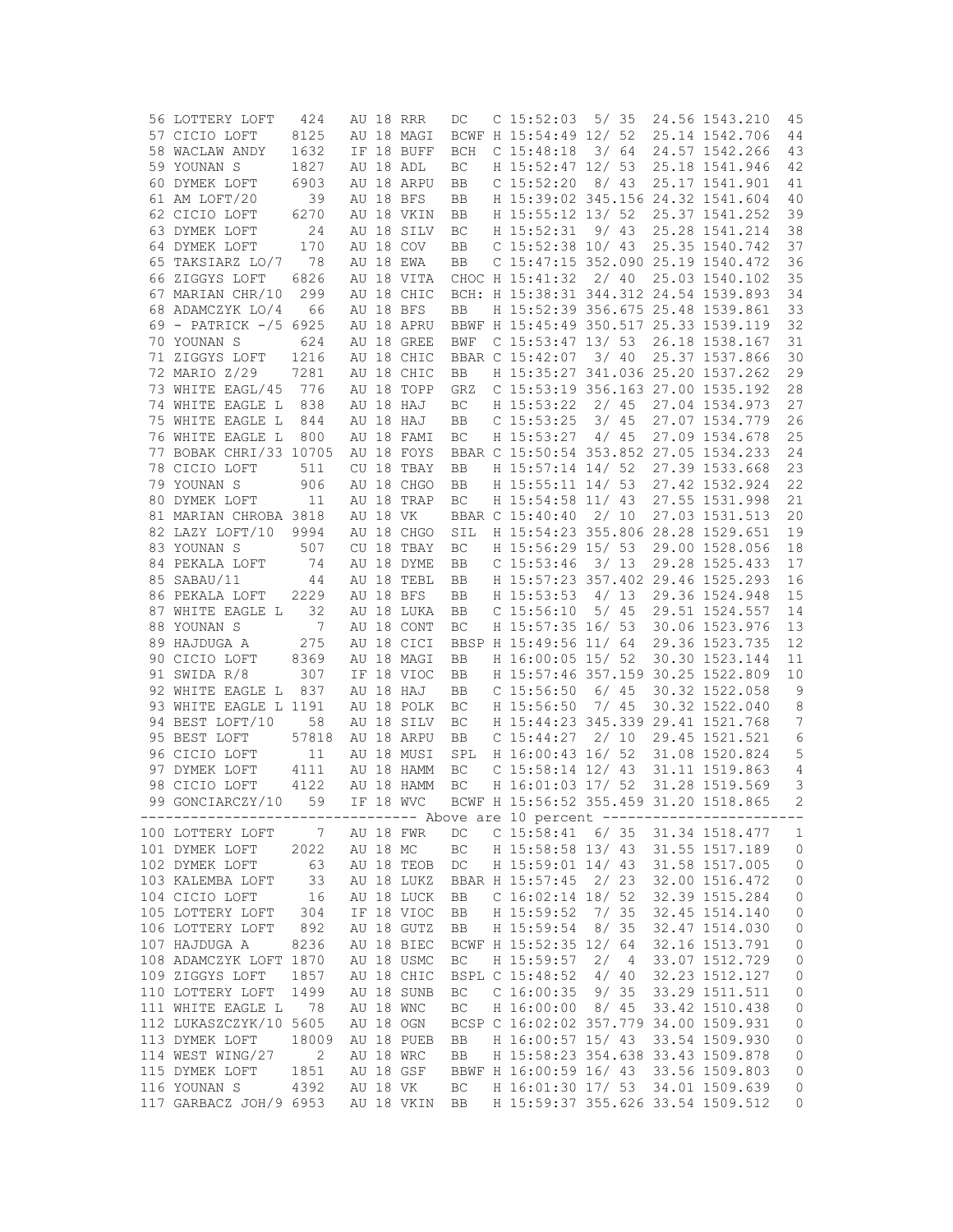| 56 LOTTERY LOFT                                                                                                                        | 424   |          | AU 18 RRR     | DC         | С | 15:52:03                                        | 5/35 |  | 24.56 1543.210                    | 45             |
|----------------------------------------------------------------------------------------------------------------------------------------|-------|----------|---------------|------------|---|-------------------------------------------------|------|--|-----------------------------------|----------------|
| 57 CICIO LOFT                                                                                                                          | 8125  |          | AU 18 MAGI    |            |   | BCWF H 15:54:49 12/ 52                          |      |  | 25.14 1542.706                    | 44             |
| 58 WACLAW ANDY                                                                                                                         | 1632  |          | IF 18 BUFF    | <b>BCH</b> |   | C <sub>15:48:18</sub>                           | 3/64 |  | 24.57 1542.266                    | 43             |
|                                                                                                                                        |       |          |               |            |   |                                                 |      |  |                                   |                |
| 59 YOUNAN S                                                                                                                            | 1827  |          | AU 18 ADL     | ВC         |   | H 15:52:47 12/ 53                               |      |  | 25.18 1541.946                    | 42             |
| 60 DYMEK LOFT                                                                                                                          | 6903  |          | AU 18 ARPU    | BB         |   | $C$ 15:52:20                                    | 8/43 |  | 25.17 1541.901                    | 41             |
| 61 AM LOFT/20                                                                                                                          | 39    |          | AU 18 BFS     | BB         |   | H 15:39:02 345.156 24.32 1541.604               |      |  |                                   | 40             |
| 62 CICIO LOFT                                                                                                                          | 6270  |          | AU 18 VKIN    | BB         |   | H 15:55:12 13/ 52                               |      |  | 25.37 1541.252                    | 39             |
| 63 DYMEK LOFT                                                                                                                          | 24    |          | AU 18 SILV    | ВC         |   | H 15:52:31                                      | 9/43 |  | 25.28 1541.214                    | 38             |
| 64 DYMEK LOFT                                                                                                                          | 170   |          | AU 18 COV     | BB         |   | $C$ 15:52:38 10/43                              |      |  | 25.35 1540.742                    | 37             |
| 65 TAKSIARZ LO/7                                                                                                                       | 78    |          | AU 18 EWA     | BB         |   | C 15:47:15 352.090 25.19 1540.472               |      |  |                                   | 36             |
|                                                                                                                                        |       |          |               |            |   |                                                 |      |  |                                   |                |
| 66 ZIGGYS LOFT                                                                                                                         | 6826  |          | AU 18 VITA    |            |   | CHOC H 15:41:32                                 | 2/40 |  | 25.03 1540.102                    | 35             |
| 67 MARIAN CHR/10                                                                                                                       | 299   |          | AU 18 CHIC    |            |   | BCH: H 15:38:31 344.312 24.54 1539.893          |      |  |                                   | 34             |
| 68 ADAMCZYK LO/4                                                                                                                       | 66    |          | AU 18 BFS     | <b>BB</b>  |   | H 15:52:39 356.675 25.48 1539.861               |      |  |                                   | 33             |
| 69 - PATRICK -/5 6925                                                                                                                  |       |          | AU 18 APRU    |            |   | BBWF H 15:45:49 350.517 25.33 1539.119          |      |  |                                   | 32             |
| 70 YOUNAN S                                                                                                                            | 624   |          | AU 18 GREE    | BWF        |   | $C$ 15:53:47 13/53                              |      |  | 26.18 1538.167                    | 31             |
| 71 ZIGGYS LOFT                                                                                                                         | 1216  |          | AU 18 CHIC    |            |   | BBAR C 15:42:07                                 | 3/40 |  | 25.37 1537.866                    | 30             |
| 72 MARIO Z/29                                                                                                                          | 7281  |          | AU 18 CHIC    | BB         |   | H 15:35:27 341.036 25.20 1537.262               |      |  |                                   | 29             |
| 73 WHITE EAGL/45                                                                                                                       | 776   |          | AU 18 TOPP    | GRZ        |   | C 15:53:19 356.163 27.00 1535.192               |      |  |                                   | 28             |
| 74 WHITE EAGLE L                                                                                                                       | 838   |          | AU 18 HAJ     |            |   | H 15:53:22                                      | 2/45 |  | 27.04 1534.973                    | 27             |
|                                                                                                                                        |       |          |               | BC         |   |                                                 |      |  |                                   |                |
| 75 WHITE EAGLE L                                                                                                                       | 844   |          | AU 18 HAJ     | BB         |   | $C$ 15:53:25                                    | 3/45 |  | 27.07 1534.779                    | 26             |
| 76 WHITE EAGLE L                                                                                                                       | 800   |          | AU 18 FAMI    | ВC         |   | H 15:53:27                                      | 4/45 |  | 27.09 1534.678                    | 25             |
| 77 BOBAK CHRI/33 10705                                                                                                                 |       |          | AU 18 FOYS    |            |   | BBAR C 15:50:54 353.852 27.05 1534.233          |      |  |                                   | 24             |
| 78 CICIO LOFT                                                                                                                          | 511   |          | CU 18 TBAY    | BB         |   | H 15:57:14 14/ 52                               |      |  | 27.39 1533.668                    | 23             |
| 79 YOUNAN S                                                                                                                            | 906   |          | AU 18 CHGO    | BB         |   | H 15:55:11 14/ 53                               |      |  | 27.42 1532.924                    | 22             |
| 80 DYMEK LOFT                                                                                                                          | 11    |          | AU 18 TRAP    | BC         |   | H 15:54:58 11/ 43                               |      |  | 27.55 1531.998                    | 21             |
| 81 MARIAN CHROBA 3818                                                                                                                  |       | AU 18 VK |               |            |   | BBAR C 15:40:40                                 | 2/10 |  | 27.03 1531.513                    | 20             |
| 82 LAZY LOFT/10                                                                                                                        | 9994  |          | AU 18 CHGO    | SIL        |   | H 15:54:23 355.806 28.28 1529.651               |      |  |                                   | 19             |
|                                                                                                                                        |       |          |               |            |   |                                                 |      |  |                                   |                |
| 83 YOUNAN S                                                                                                                            | 507   |          | CU 18 TBAY    | BC         |   | H 15:56:29 15/ 53                               |      |  | 29.00 1528.056                    | 18             |
| 84 PEKALA LOFT                                                                                                                         | 74    |          | AU 18 DYME    | BB         |   | $C$ 15:53:46                                    | 3/13 |  | 29.28 1525.433                    | 17             |
| 85 SABAU/11                                                                                                                            | 44    |          | AU 18 TEBL    | BB         |   | H 15:57:23 357.402 29.46 1525.293               |      |  |                                   | 16             |
| 86 PEKALA LOFT                                                                                                                         | 2229  |          | AU 18 BFS     | BB         |   | H 15:53:53                                      | 4/13 |  | 29.36 1524.948                    | 15             |
| 87 WHITE EAGLE L                                                                                                                       | 32    |          | AU 18 LUKA    | BB         |   | C <sub>15:56:10</sub>                           | 5/45 |  | 29.51 1524.557                    | 14             |
| 88 YOUNAN S                                                                                                                            | 7     |          | AU 18 CONT    | ВC         |   | H 15:57:35 16/ 53                               |      |  | 30.06 1523.976                    | 13             |
| 89 HAJDUGA A                                                                                                                           | 275   |          | AU 18 CICI    |            |   | BBSP H 15:49:56 11/ 64                          |      |  | 29.36 1523.735                    | 12             |
| 90 CICIO LOFT                                                                                                                          | 8369  |          | AU 18 MAGI    | BB         |   | H 16:00:05 15/ 52                               |      |  | 30.30 1523.144                    | 11             |
| 91 SWIDA R/8                                                                                                                           | 307   |          | IF 18 VIOC    | BB         |   | H 15:57:46 357.159                              |      |  | 30.25 1522.809                    | 10             |
|                                                                                                                                        |       |          |               |            |   |                                                 |      |  |                                   |                |
| 92 WHITE EAGLE L                                                                                                                       | 837   |          | AU 18 HAJ     | BB         |   | $C$ 15:56:50                                    | 6/45 |  | 30.32 1522.058                    | 9              |
| 93 WHITE EAGLE L 1191                                                                                                                  |       |          | AU 18 POLK    | ВC         |   | H 15:56:50                                      | 7/45 |  | 30.32 1522.040                    | 8              |
| 94 BEST LOFT/10                                                                                                                        | 58    |          | AU 18 SILV    | BC         |   | H 15:44:23 345.339                              |      |  | 29.41 1521.768                    | 7              |
| 95 BEST LOFT                                                                                                                           | 57818 |          | AU 18 ARPU    | BB         |   | $C$ 15:44:27                                    | 2/10 |  | 29.45 1521.521                    | 6              |
| 96 CICIO LOFT                                                                                                                          | 11    |          | AU 18 MUSI    | SPL        |   | H 16:00:43 16/ 52                               |      |  | 31.08 1520.824                    | 5              |
| 97 DYMEK LOFT                                                                                                                          | 4111  |          | AU 18 HAMM    | ВC         |   | $C$ 15:58:14 12/ 43                             |      |  | 31.11 1519.863                    | 4              |
| 98 CICIO LOFT                                                                                                                          | 4122  |          | AU 18 HAMM    | ВC         |   | H 16:01:03 17/ 52                               |      |  | 31.28 1519.569                    | 3              |
| 99 GONCIARCZY/10                                                                                                                       | 59    |          | IF 18 WVC     |            |   | BCWF H 15:56:52 355.459 31.20 1518.865          |      |  |                                   | 2              |
| --------------------------------- Above are 10 percent ------------------------                                                        |       |          |               |            |   |                                                 |      |  |                                   |                |
| 100 LOTTERY LOFT 7 AU 18 FWR                                                                                                           |       |          |               | DC         |   |                                                 |      |  | C 15:58:41 6/ 35 31.34 1518.477 1 |                |
|                                                                                                                                        |       |          |               |            |   |                                                 |      |  |                                   |                |
| 101 DYMEK LOFT 2022 AU 18 MC BC H 15:58:58 13/43 31.55 1517.189 0<br>102 DYMEK LOFT 63 AU 18 TEOB DC H 15:59:01 14/43 31.58 1517.005 0 |       |          |               |            |   |                                                 |      |  |                                   |                |
|                                                                                                                                        |       |          |               |            |   | H 15:59:01 14/ 43 31.58 1517.005                |      |  |                                   |                |
| 103 KALEMBA LOFT 33                                                                                                                    |       |          |               |            |   | AU 18 LUKZ BBAR H 15:57:45 2/23                 |      |  | 32.00 1516.472                    | $\mathbb O$    |
| 104 CICIO LOFT 16<br>105 LOTTERY LOFT 304                                                                                              |       |          | AU 18 LUCK BB |            |   | C $16:02:14$ 18/52                              |      |  | 32.39 1515.284                    | $\overline{0}$ |
|                                                                                                                                        |       |          | IF 18 VIOC    | BB         |   | H 15:59:52 7/ 35                                |      |  | 32.45 1514.140                    | $\mathbb O$    |
| 106 LOTTERY LOFT                                                                                                                       | 892   |          | AU 18 GUTZ    | BB         |   | H 15:59:54 8/ 35                                |      |  | 32.47 1514.030                    | $\mathbb O$    |
| 107 HAJDUGA A 8236                                                                                                                     |       |          | AU 18 BIEC    |            |   | BCWF H 15:52:35 12/ 64                          |      |  | 32.16 1513.791                    | $\mathbb O$    |
| 108 ADAMCZYK LOFT 1870                                                                                                                 |       |          | AU 18 USMC    |            |   |                                                 |      |  | 33.07 1512.729                    |                |
|                                                                                                                                        |       |          |               | BC         |   | H 15:59:57 2/ 4                                 |      |  |                                   | $\circ$        |
| 109 ZIGGYS LOFT                                                                                                                        | 1857  |          | AU 18 CHIC    |            |   | BSPL C 15:48:52 4/ 40                           |      |  | 32.23 1512.127                    | $\circ$        |
| 110 LOTTERY LOFT 1499                                                                                                                  |       |          | AU 18 SUNB    | BC         |   | $C$ 16:00:35 9/35                               |      |  | 33.29 1511.511                    | $\circledcirc$ |
| 111 WHITE EAGLE L 78                                                                                                                   |       |          | AU 18 WNC     | BC         |   | H 16:00:00 8/ 45                                |      |  | 33.42 1510.438                    | $\mathbb O$    |
| 112 LUKASZCZYK/10 5605                                                                                                                 |       |          | AU 18 OGN     |            |   | BCSP C 16:02:02 357.779 34.00 1509.931          |      |  |                                   | $\mathbb O$    |
| 113 DYMEK LOFT 18009                                                                                                                   |       |          | AU 18 PUEB BB |            |   | H 16:00:57 15/ 43 33.54 1509.930                |      |  |                                   | $\mathbb O$    |
| 114 WEST WING/27 2                                                                                                                     |       |          | AU 18 WRC     | <b>BB</b>  |   | H 15:58:23 354.638 33.43 1509.878               |      |  |                                   | $\mathsf{O}$   |
| 115 DYMEK LOFT                                                                                                                         | 1851  |          |               |            |   | AU 18 GSF BBWF H 16:00:59 16/ 43 33.56 1509.803 |      |  |                                   | $\circledcirc$ |
| 116 YOUNAN S 4392 AU 18 VK BC H 16:01:30 17/ 53 34.01 1509.639                                                                         |       |          |               |            |   |                                                 |      |  |                                   | $\overline{0}$ |
|                                                                                                                                        |       |          |               |            |   |                                                 |      |  |                                   |                |
| 117 GARBACZ JOH/9 6953 AU 18 VKIN BB H 15:59:37 355.626 33.54 1509.512                                                                 |       |          |               |            |   |                                                 |      |  |                                   | $\overline{0}$ |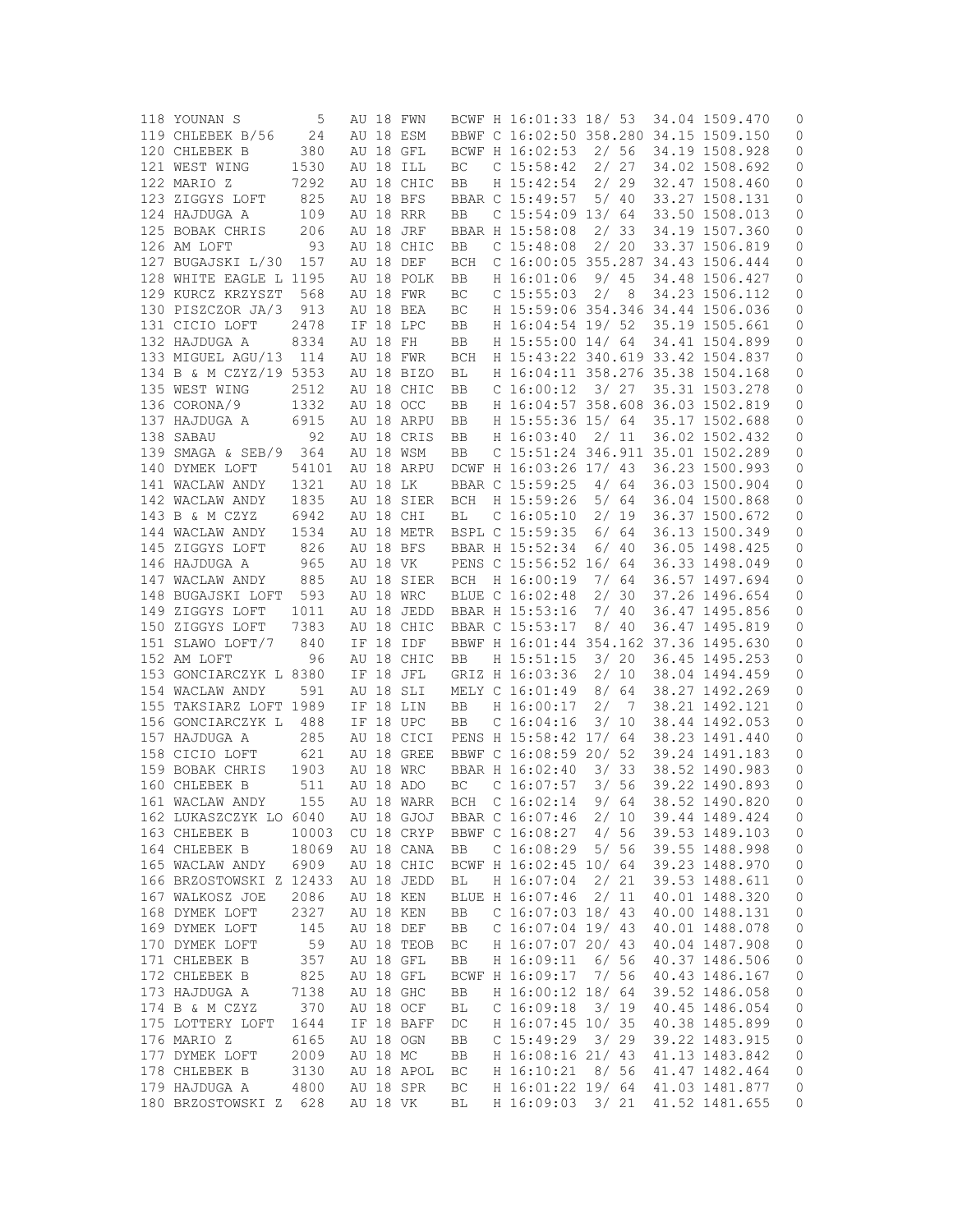| 118 YOUNAN S            | 5     |       |          | AU 18 FWN  |            | BCWF H 16:01:33 18/ 53                 |           | 34.04 1509.470 | 0                   |
|-------------------------|-------|-------|----------|------------|------------|----------------------------------------|-----------|----------------|---------------------|
| 119 CHLEBEK B/56        | 24    |       |          | AU 18 ESM  |            | BBWF C 16:02:50 358.280 34.15 1509.150 |           |                | 0                   |
| 120 CHLEBEK B           | 380   |       |          | AU 18 GFL  |            | BCWF H 16:02:53                        | 2/56      | 34.19 1508.928 | 0                   |
| 121 WEST WING           | 1530  | AU 18 |          | ILL        | ВC         | C <sub>15:58:42</sub>                  | 2/27      | 34.02 1508.692 | 0                   |
| 122 MARIO Z             | 7292  |       |          | AU 18 CHIC | BB         | H 15:42:54                             | 2/29      | 32.47 1508.460 | 0                   |
| 123 ZIGGYS LOFT         | 825   |       |          | AU 18 BFS  |            | BBAR C 15:49:57                        | 5/40      | 33.27 1508.131 | 0                   |
|                         |       |       |          |            |            | $C$ 15:54:09 13/64                     |           | 33.50 1508.013 |                     |
| 124 HAJDUGA A           | 109   |       |          | AU 18 RRR  | BB         |                                        |           |                | 0                   |
| 125 BOBAK CHRIS         | 206   |       |          | AU 18 JRF  |            | BBAR H 15:58:08                        | 2/33      | 34.19 1507.360 | 0                   |
| 126 AM LOFT             | 93    |       |          | AU 18 CHIC | BB         | C <sub>15:48:08</sub>                  | 2/20      | 33.37 1506.819 | 0                   |
| 127 BUGAJSKI L/30       | 157   |       |          | AU 18 DEF  | BCH        | C 16:00:05 355.287 34.43 1506.444      |           |                | 0                   |
| 128 WHITE EAGLE L 1195  |       |       |          | AU 18 POLK | BB         | H 16:01:06                             | 9/45      | 34.48 1506.427 | 0                   |
| 129 KURCZ KRZYSZT       | 568   |       |          | AU 18 FWR  | ВC         | $C$ 15:55:03                           | 2/8       | 34.23 1506.112 | 0                   |
| 130 PISZCZOR JA/3       | 913   |       |          | AU 18 BEA  | ВC         | H 15:59:06 354.346 34.44 1506.036      |           |                | 0                   |
| 131 CICIO LOFT          | 2478  |       |          | IF 18 LPC  | BB         | H 16:04:54 19/ 52                      |           | 35.19 1505.661 | 0                   |
| 132 HAJDUGA A           | 8334  |       | AU 18 FH |            | BB         | H 15:55:00 14/ 64                      |           | 34.41 1504.899 | 0                   |
| 133 MIGUEL AGU/13       | 114   |       |          | AU 18 FWR  | BCH        | H 15:43:22 340.619 33.42 1504.837      |           |                | 0                   |
| 134 B & M CZYZ/19 5353  |       |       |          | AU 18 BIZO | ВL         | H 16:04:11 358.276 35.38 1504.168      |           |                | 0                   |
| 135 WEST WING           | 2512  |       |          | AU 18 CHIC | BB         | C 16:00:12                             | 3/27      | 35.31 1503.278 | 0                   |
| 136 CORONA/9            | 1332  |       |          | AU 18 OCC  |            | H 16:04:57 358.608 36.03 1502.819      |           |                | 0                   |
|                         |       |       |          |            | BB         |                                        |           |                |                     |
| 137 HAJDUGA A           | 6915  |       |          | AU 18 ARPU | BB         | H 15:55:36 15/ 64                      |           | 35.17 1502.688 | 0                   |
| 138 SABAU               | 92    |       |          | AU 18 CRIS | BB         | H 16:03:40                             | 2/11      | 36.02 1502.432 | 0                   |
| 139 SMAGA & SEB/9       | 364   |       |          | AU 18 WSM  | BB         | C 15:51:24 346.911 35.01 1502.289      |           |                | 0                   |
| 140 DYMEK LOFT          | 54101 |       |          | AU 18 ARPU |            | DCWF H 16:03:26 17/ 43                 |           | 36.23 1500.993 | 0                   |
| 141 WACLAW ANDY         | 1321  |       |          | AU 18 LK   |            | BBAR C 15:59:25                        | 4/64      | 36.03 1500.904 | 0                   |
| 142 WACLAW ANDY         | 1835  |       |          | AU 18 SIER | BCH        | H 15:59:26                             | 5/64      | 36.04 1500.868 | 0                   |
| 143 B & M CZYZ          | 6942  |       |          | AU 18 CHI  | ВL         | C <sub>16:05:10</sub>                  | 2/ 19     | 36.37 1500.672 | 0                   |
| 144 WACLAW ANDY         | 1534  |       |          | AU 18 METR |            | BSPL C 15:59:35                        | 6/64      | 36.13 1500.349 | 0                   |
| 145 ZIGGYS LOFT         | 826   |       |          | AU 18 BFS  |            | BBAR H 15:52:34                        | 6/40      | 36.05 1498.425 | 0                   |
| 146 HAJDUGA A           | 965   |       |          | AU 18 VK   |            | PENS C 15:56:52 16/ 64                 |           | 36.33 1498.049 | 0                   |
| 147 WACLAW ANDY         | 885   |       |          | AU 18 SIER | BCH        | H 16:00:19                             | 7/ 64     | 36.57 1497.694 | 0                   |
|                         |       |       |          |            |            |                                        |           |                |                     |
| 148 BUGAJSKI LOFT       | 593   |       |          | AU 18 WRC  |            | BLUE C 16:02:48                        | 2/<br>30  | 37.26 1496.654 | 0                   |
| 149 ZIGGYS LOFT         | 1011  |       |          | AU 18 JEDD |            | BBAR H 15:53:16                        | 7/ 40     | 36.47 1495.856 | 0                   |
| 150 ZIGGYS LOFT         | 7383  |       |          | AU 18 CHIC |            | BBAR C 15:53:17                        | 8/40      | 36.47 1495.819 | 0                   |
| 151 SLAWO LOFT/7        | 840   |       | IF 18    | IDF        |            | BBWF H 16:01:44 354.162 37.36 1495.630 |           |                | 0                   |
| 152 AM LOFT             | 96    |       |          | AU 18 CHIC | BB         | H 15:51:15                             | 3/20      | 36.45 1495.253 | 0                   |
| 153 GONCIARCZYK L 8380  |       |       |          | IF 18 JFL  |            | GRIZ H 16:03:36                        | 2/10      | 38.04 1494.459 | 0                   |
| 154 WACLAW ANDY         | 591   |       |          | AU 18 SLI  |            | MELY C 16:01:49                        | 8 /<br>64 | 38.27 1492.269 | 0                   |
| 155 TAKSIARZ LOFT 1989  |       |       |          | IF 18 LIN  | BB         | H 16:00:17                             | 2/<br>- 7 | 38.21 1492.121 | 0                   |
| 156 GONCIARCZYK L       | 488   |       |          | IF 18 UPC  | <b>BB</b>  | C <sub>16:04:16</sub>                  | 3/10      | 38.44 1492.053 | 0                   |
| 157 HAJDUGA A           | 285   |       |          | AU 18 CICI |            | PENS H 15:58:42 17/ 64                 |           | 38.23 1491.440 | 0                   |
| 158 CICIO LOFT          | 621   |       |          | AU 18 GREE |            | BBWF C 16:08:59 20/                    | 52        | 39.24 1491.183 | 0                   |
| 159 BOBAK CHRIS         | 1903  |       |          | AU 18 WRC  |            | BBAR H 16:02:40                        | 3/33      | 38.52 1490.983 | 0                   |
|                         |       |       |          |            |            |                                        |           | 39.22 1490.893 |                     |
| 160 CHLEBEK B           | 511   |       |          | AU 18 ADO  | BC         | $C$ 16:07:57                           | 3/56      |                | 0                   |
| 161 WACLAW ANDY         | 155   |       |          | AU 18 WARR | <b>BCH</b> | C 16:02:14                             | 9/64      | 38.52 1490.820 | 0                   |
| 162 LUKASZCZYK LO 6040  |       |       |          | AU 18 GJOJ |            | BBAR C 16:07:46                        | 2/10      | 39.44 1489.424 | 0                   |
| 163 CHLEBEK B           | 10003 |       |          | CU 18 CRYP |            | BBWF C 16:08:27                        | 4/56      | 39.53 1489.103 | 0                   |
| 164 CHLEBEK B           | 18069 |       |          | AU 18 CANA | BB         | C <sub>16:08:29</sub>                  | 5/56      | 39.55 1488.998 | $\mathbb O$         |
| 165 WACLAW ANDY         | 6909  |       |          | AU 18 CHIC |            | BCWF H 16:02:45 10/ 64                 |           | 39.23 1488.970 | $\mathsf{O}\xspace$ |
| 166 BRZOSTOWSKI Z 12433 |       |       |          | AU 18 JEDD | ВL         | H 16:07:04                             | 2/21      | 39.53 1488.611 | 0                   |
| 167 WALKOSZ JOE         | 2086  |       |          | AU 18 KEN  |            | BLUE H 16:07:46                        | 2/11      | 40.01 1488.320 | $\mathbb O$         |
| 168 DYMEK LOFT          | 2327  |       |          | AU 18 KEN  | BB         | $C$ 16:07:03 18/43                     |           | 40.00 1488.131 | 0                   |
| 169 DYMEK LOFT          | 145   |       |          | AU 18 DEF  | BB         | $C$ 16:07:04 19/43                     |           | 40.01 1488.078 | 0                   |
|                         |       |       |          | AU 18 TEOB |            | H 16:07:07 20/ 43                      |           |                |                     |
| 170 DYMEK LOFT          | 59    |       |          |            | ВC         |                                        |           | 40.04 1487.908 | 0                   |
| 171 CHLEBEK B           | 357   |       |          | AU 18 GFL  | BB         | H 16:09:11                             | 6/56      | 40.37 1486.506 | 0                   |
| 172 CHLEBEK B           | 825   |       |          | AU 18 GFL  |            | BCWF H 16:09:17                        | 7/56      | 40.43 1486.167 | 0                   |
| 173 HAJDUGA A           | 7138  |       |          | AU 18 GHC  | BB         | H 16:00:12 18/ 64                      |           | 39.52 1486.058 | 0                   |
| 174 B & M CZYZ          | 370   |       |          | AU 18 OCF  | ВL         | C <sub>16:09:18</sub>                  | 3/19      | 40.45 1486.054 | 0                   |
| 175 LOTTERY LOFT        | 1644  |       |          | IF 18 BAFF | DC         | H 16:07:45 10/ 35                      |           | 40.38 1485.899 | 0                   |
| 176 MARIO Z             | 6165  |       |          | AU 18 OGN  | BB         | $C$ 15:49:29                           | 3/29      | 39.22 1483.915 | 0                   |
| 177 DYMEK LOFT          | 2009  |       |          | AU 18 MC   | BB         | H 16:08:16 21/ 43                      |           | 41.13 1483.842 | 0                   |
| 178 CHLEBEK B           | 3130  |       |          | AU 18 APOL | BC         | H 16:10:21                             | 8/56      | 41.47 1482.464 | 0                   |
| 179 HAJDUGA A           | 4800  |       |          | AU 18 SPR  | ВC         | H 16:01:22 19/ 64                      |           | 41.03 1481.877 | 0                   |
|                         |       |       |          |            |            |                                        |           |                |                     |
| 180 BRZOSTOWSKI Z       | 628   |       |          | AU 18 VK   | ВL         | H 16:09:03                             | 3/ 21     | 41.52 1481.655 | 0                   |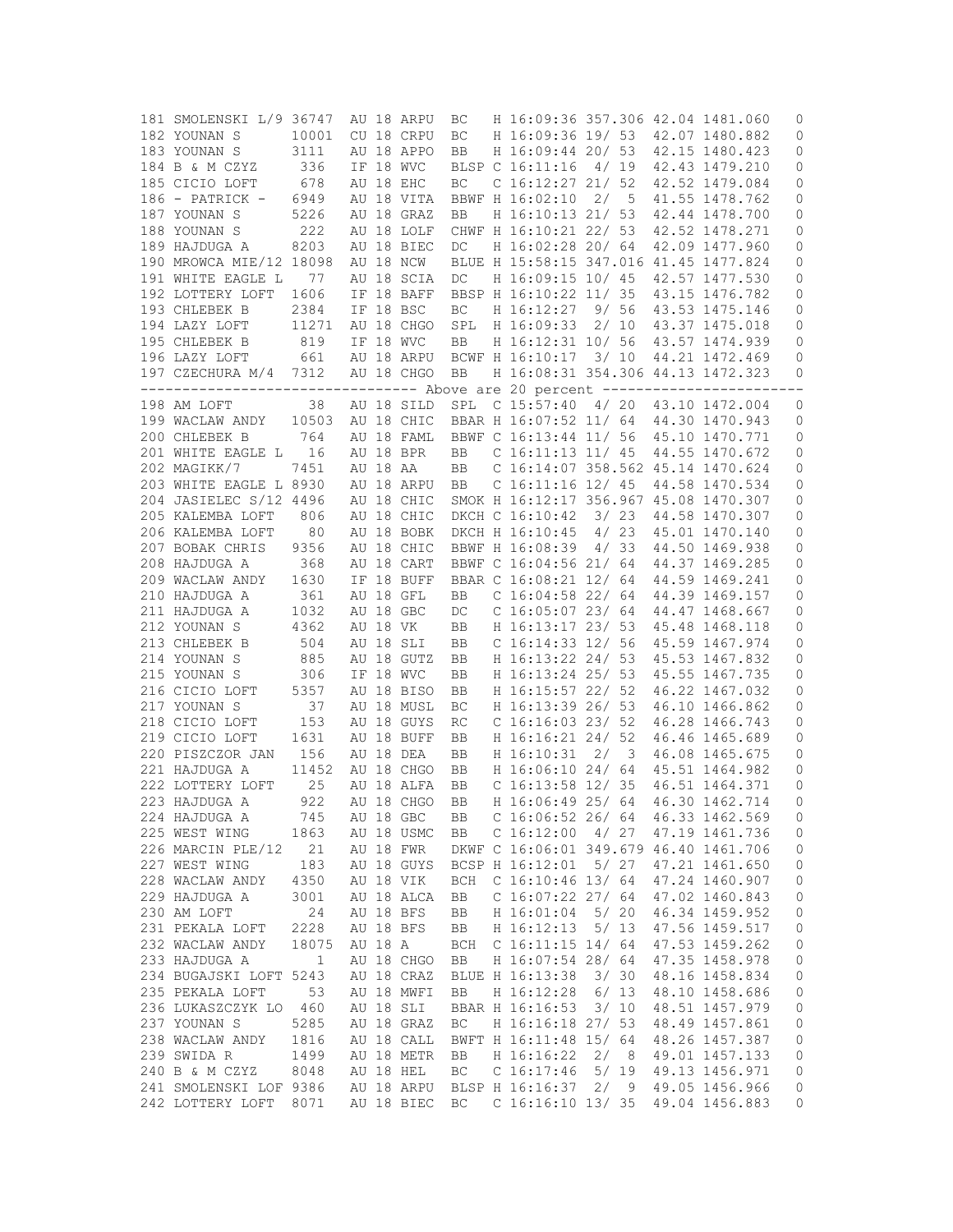| 181 SMOLENSKI L/9 36747 |             |          | AU 18 ARPU              | ВC  | H 16:09:36 357.306 42.04 1481.060      |       |                         |                                                          | 0            |
|-------------------------|-------------|----------|-------------------------|-----|----------------------------------------|-------|-------------------------|----------------------------------------------------------|--------------|
| 182 YOUNAN S            | 10001       |          | CU 18 CRPU              | ВC  | H 16:09:36 19/ 53                      |       |                         | 42.07 1480.882                                           | 0            |
| 183 YOUNAN S            | 3111        |          | AU 18 APPO              | BB  | H 16:09:44 20/ 53                      |       |                         | 42.15 1480.423                                           | 0            |
| 184 B & M CZYZ          | 336         |          | IF 18 WVC               |     | BLSP C 16:11:16                        | 4/ 19 |                         | 42.43 1479.210                                           | 0            |
| 185 CICIO LOFT          | 678         |          | AU 18 EHC               | ВC  | C $16:12:27$ 21/ 52                    |       |                         | 42.52 1479.084                                           | 0            |
| $186$ - PATRICK -       | 6949        |          | AU 18 VITA              |     | BBWF H 16:02:10                        | 2/    | $-5$                    | 41.55 1478.762                                           | 0            |
| 187 YOUNAN S            | 5226        |          | AU 18 GRAZ              | BB  | H 16:10:13 21/ 53                      |       |                         | 42.44 1478.700                                           | 0            |
| 188 YOUNAN S            | 222         |          | AU 18 LOLF              |     | CHWF H 16:10:21 22/ 53                 |       |                         | 42.52 1478.271                                           | 0            |
| 189 HAJDUGA A           | 8203        |          | AU 18 BIEC              | DC  | H 16:02:28 20/ 64                      |       |                         | 42.09 1477.960                                           | 0            |
| 190 MROWCA MIE/12 18098 |             |          | AU 18 NCW               |     | BLUE H 15:58:15 347.016 41.45 1477.824 |       |                         |                                                          | 0            |
| 191 WHITE EAGLE L       | 77          |          | AU 18 SCIA              | DC  | H 16:09:15 10/ 45                      |       |                         | 42.57 1477.530                                           | $\mathsf{O}$ |
| 192 LOTTERY LOFT        | 1606        |          | IF 18 BAFF              |     | BBSP H 16:10:22 11/ 35                 |       |                         | 43.15 1476.782                                           | 0            |
| 193 CHLEBEK B           | 2384        |          | IF 18 BSC               | ВC  | H 16:12:27                             |       | 9/56                    | 43.53 1475.146                                           | 0            |
| 194 LAZY LOFT           | 11271       |          | AU 18 CHGO              | SPL | H 16:09:33                             | 2/10  |                         | 43.37 1475.018                                           | 0            |
| 195 CHLEBEK B           | 819         |          | IF 18 WVC               | BB  | H 16:12:31 10/ 56                      |       |                         | 43.57 1474.939                                           | 0            |
| 196 LAZY LOFT           | 661         |          | AU 18 ARPU              |     | BCWF H 16:10:17 3/ 10                  |       |                         | 44.21 1472.469                                           | 0            |
| 197 CZECHURA M/4 7312   |             |          | AU 18 CHGO              | BB  | H 16:08:31 354.306 44.13 1472.323      |       |                         |                                                          | 0            |
| --------------------    |             |          |                         |     |                                        |       |                         | ------------- Above are 20 percent --------------------- |              |
| 198 AM LOFT             | 38          |          | AU 18 SILD              | SPL | $C$ 15:57:40 4/20                      |       |                         | 43.10 1472.004                                           | 0            |
| 199 WACLAW ANDY         | 10503       |          | AU 18 CHIC              |     | BBAR H 16:07:52 11/ 64                 |       |                         | 44.30 1470.943                                           | 0            |
| 200 CHLEBEK B           | 764         |          | AU 18 FAML              |     | BBWF C 16:13:44 11/ 56                 |       |                         | 45.10 1470.771                                           | 0            |
| 201 WHITE EAGLE L       | 16          |          | AU 18 BPR               | BB  | C 16:11:13 11/ 45                      |       |                         | 44.55 1470.672                                           | 0            |
| 202 MAGIKK/7            | 7451        | AU 18 AA |                         | BB  | C 16:14:07 358.562 45.14 1470.624      |       |                         |                                                          | 0            |
| 203 WHITE EAGLE L 8930  |             |          | AU 18 ARPU              | BB  | $C_16:11:16_12/45$                     |       |                         | 44.58 1470.534                                           | 0            |
| 204 JASIELEC S/12 4496  |             |          | AU 18 CHIC              |     | SMOK H 16:12:17 356.967 45.08 1470.307 |       |                         |                                                          | 0            |
| 205 KALEMBA LOFT        | 806         |          | AU 18 CHIC              |     | DKCH C 16:10:42                        | 3/23  |                         | 44.58 1470.307                                           | 0            |
| 206 KALEMBA LOFT        | 80          |          | AU 18 BOBK              |     | DKCH H 16:10:45                        | 4/23  |                         | 45.01 1470.140                                           | 0            |
| 207 BOBAK CHRIS         | 9356        |          | AU 18 CHIC              |     | BBWF H 16:08:39 4/33                   |       |                         | 44.50 1469.938                                           | 0            |
| 208 HAJDUGA A           | 368         |          | AU 18 CART              |     | BBWF C 16:04:56 21/ 64                 |       |                         | 44.37 1469.285                                           | 0            |
| 209 WACLAW ANDY         | 1630        |          | IF 18 BUFF              |     | BBAR C 16:08:21 12/ 64                 |       |                         | 44.59 1469.241                                           | 0            |
| 210 HAJDUGA A           | 361         |          | AU 18 GFL               | BB  | C $16:04:58$ 22/64                     |       |                         | 44.39 1469.157                                           | 0            |
| 211 HAJDUGA A           | 1032        |          | AU 18 GBC               | DC  | C $16:05:07$ 23/64                     |       |                         | 44.47 1468.667                                           | 0            |
|                         |             |          |                         | BB  | H 16:13:17 23/ 53                      |       |                         |                                                          | 0            |
| 212 YOUNAN S            | 4362        |          | AU 18 VK                |     | C $16:14:33$ $12/56$                   |       |                         | 45.48 1468.118                                           |              |
| 213 CHLEBEK B           | 504<br>885  |          | AU 18 SLI<br>AU 18 GUTZ | BB  | H 16:13:22 24/ 53                      |       |                         | 45.59 1467.974                                           | 0            |
| 214 YOUNAN S            | 306         |          | IF 18 WVC               | BB  | H 16:13:24 25/ 53                      |       |                         | 45.53 1467.832<br>45.55 1467.735                         | 0            |
| 215 YOUNAN S            |             |          |                         | BB  |                                        |       |                         |                                                          | 0            |
| 216 CICIO LOFT          | 5357        |          | AU 18 BISO              | BB  | H 16:15:57 22/ 52                      |       |                         | 46.22 1467.032                                           | 0            |
| 217 YOUNAN S            | 37          |          | AU 18 MUSL              | BC  | H 16:13:39 26/ 53                      |       |                         | 46.10 1466.862                                           | 0            |
| 218 CICIO LOFT          | 153         |          | AU 18 GUYS              | RC  | $C$ 16:16:03 23/ 52                    |       |                         | 46.28 1466.743                                           | 0            |
| 219 CICIO LOFT          | 1631        |          | AU 18 BUFF              | BB  | H 16:16:21 24/ 52                      |       |                         | 46.46 1465.689                                           | 0            |
| 220 PISZCZOR JAN        | 156         |          | AU 18 DEA               | BB  | H 16:10:31                             | 2/    | $\overline{\mathbf{3}}$ | 46.08 1465.675                                           | 0            |
| 221 HAJDUGA A           | 11452       |          | AU 18 CHGO              | BB  | H 16:06:10 24/ 64                      |       |                         | 45.51 1464.982                                           | 0            |
| 222 LOTTERY LOFT        | 25          |          | AU 18 ALFA              | BB  | C $16:13:58$ 12/35                     |       |                         | 46.51 1464.371                                           | 0            |
| 223 HAJDUGA A           | 922         |          | AU 18 CHGO              | BB  | H 16:06:49 25/ 64                      |       |                         | 46.30 1462.714                                           | $\circ$      |
| 224 HAJDUGA A           | 745         |          | AU 18 GBC               | BB  | C $16:06:52$ 26/64                     |       |                         | 46.33 1462.569                                           | 0            |
| 225 WEST WING           | 1863        |          | AU 18 USMC              | BB  | C <sub>16:12:00</sub>                  | 4/27  |                         | 47.19 1461.736                                           | 0            |
| 226 MARCIN PLE/12       | 21          |          | AU 18 FWR               |     | DKWF C 16:06:01 349.679 46.40 1461.706 |       |                         |                                                          | 0            |
| 227 WEST WING           | 183         |          | AU 18 GUYS              |     | BCSP H 16:12:01                        |       | 5/ 27                   | 47.21 1461.650                                           | 0            |
| 228 WACLAW ANDY         | 4350        |          | AU 18 VIK               | BCH | $C$ 16:10:46 13/64                     |       |                         | 47.24 1460.907                                           | 0            |
| 229 HAJDUGA A           | 3001        |          | AU 18 ALCA              | BB  | C $16:07:22$ 27/64                     |       |                         | 47.02 1460.843                                           | 0            |
| 230 AM LOFT             | 24          |          | AU 18 BFS               | BB  | H 16:01:04                             | 5/20  |                         | 46.34 1459.952                                           | $\mathsf{O}$ |
| 231 PEKALA LOFT         | 2228        |          | AU 18 BFS               | BB  | H 16:12:13                             | 5/13  |                         | 47.56 1459.517                                           | $\circ$      |
| 232 WACLAW ANDY         | 18075       | AU 18 A  |                         | BCH | C $16:11:15$ $14/64$                   |       |                         | 47.53 1459.262                                           | 0            |
| 233 HAJDUGA A           | $\mathbf 1$ |          | AU 18 CHGO              | BB  | H 16:07:54 28/ 64                      |       |                         | 47.35 1458.978                                           | 0            |
| 234 BUGAJSKI LOFT 5243  |             |          | AU 18 CRAZ              |     | BLUE H 16:13:38                        | 3/30  |                         | 48.16 1458.834                                           | $\circ$      |
| 235 PEKALA LOFT         | 53          |          | AU 18 MWFI              | BB  | H 16:12:28                             | 6/13  |                         | 48.10 1458.686                                           | $\circ$      |
| 236 LUKASZCZYK LO       | 460         |          | AU 18 SLI               |     | BBAR H 16:16:53                        | 3/10  |                         | 48.51 1457.979                                           | $\circ$      |
| 237 YOUNAN S            | 5285        |          | AU 18 GRAZ              | BC  | H 16:16:18 27/ 53                      |       |                         | 48.49 1457.861                                           | $\circ$      |
| 238 WACLAW ANDY         | 1816        |          | AU 18 CALL              |     | BWFT H 16:11:48 15/ 64                 |       |                         | 48.26 1457.387                                           | 0            |
| 239 SWIDA R             | 1499        |          | AU 18 METR              | BB  | H 16:16:22                             | 2/8   |                         | 49.01 1457.133                                           | 0            |
| 240 B & M CZYZ          | 8048        |          | AU 18 HEL               | ВC  | $C$ 16:17:46                           | 5/19  |                         | 49.13 1456.971                                           | 0            |
| 241 SMOLENSKI LOF 9386  |             |          | AU 18 ARPU              |     | BLSP H 16:16:37                        | 2/9   |                         | 49.05 1456.966                                           | 0            |
| 242 LOTTERY LOFT        | 8071        |          | AU 18 BIEC              | ВC  | $C$ 16:16:10 13/35                     |       |                         | 49.04 1456.883                                           | 0            |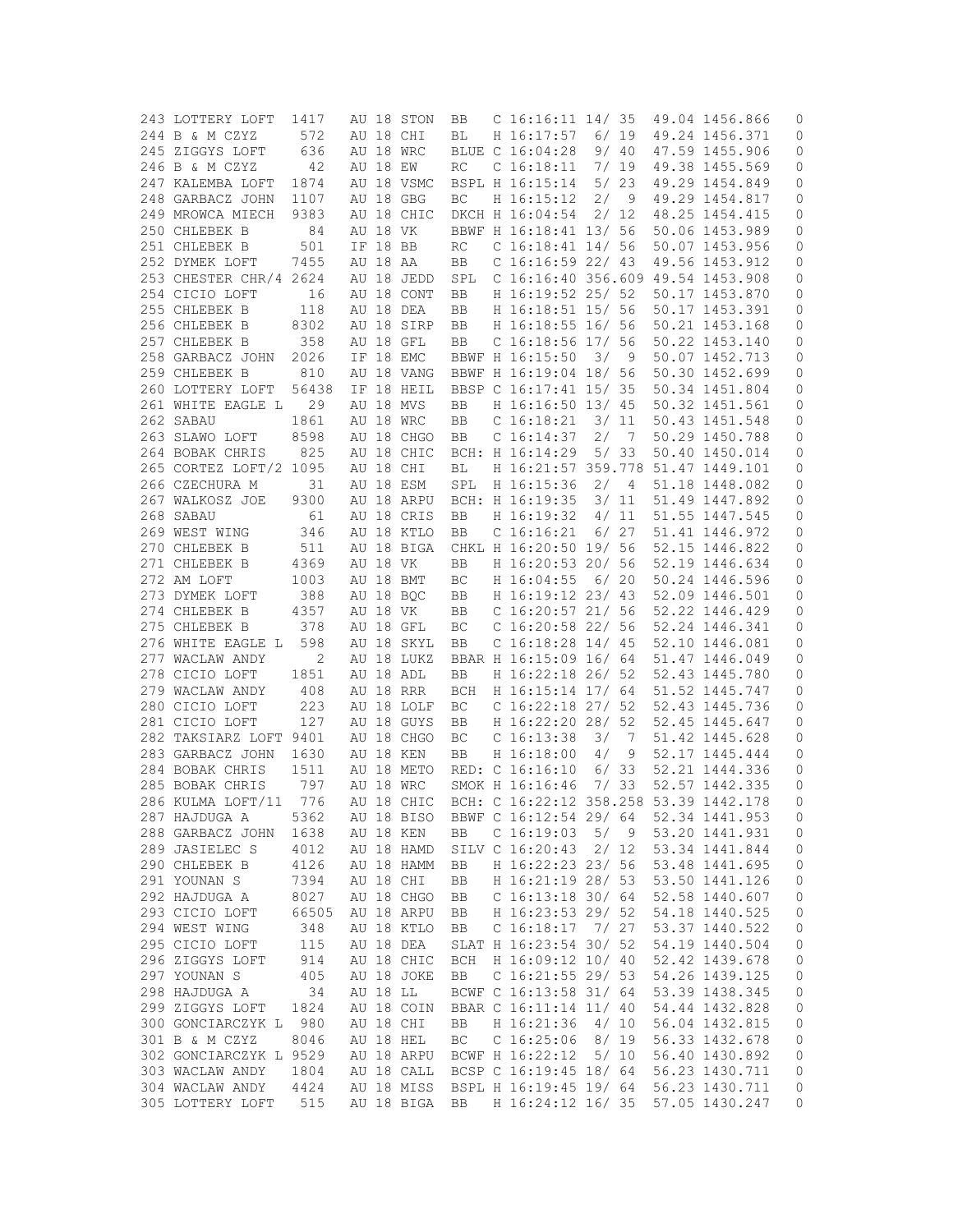| 243 LOTTERY LOFT       | 1417  |          | AU 18 STON | BB                  | C 16:16:11 14/ 35                      |       |                | 49.04 1456.866 | 0                   |
|------------------------|-------|----------|------------|---------------------|----------------------------------------|-------|----------------|----------------|---------------------|
| 244 B & M CZYZ         | 572   |          | AU 18 CHI  | ВL                  | H 16:17:57                             |       | 6/19           | 49.24 1456.371 | 0                   |
| 245 ZIGGYS LOFT        | 636   |          | AU 18 WRC  |                     | BLUE C 16:04:28                        |       | 9/40           | 47.59 1455.906 | 0                   |
| 246 B & M CZYZ         | 42    | AU 18 EW |            | RC                  | C <sub>16:18:11</sub>                  |       | 7/19           | 49.38 1455.569 | 0                   |
| 247 KALEMBA LOFT       | 1874  |          | AU 18 VSMC |                     | BSPL H 16:15:14                        |       | 5/23           | 49.29 1454.849 | 0                   |
| 248 GARBACZ JOHN       | 1107  |          | AU 18 GBG  | BC                  | H 16:15:12                             | 2/    | - 9            | 49.29 1454.817 | 0                   |
| 249 MROWCA MIECH       | 9383  |          | AU 18 CHIC |                     | DKCH H 16:04:54                        |       | 2/12           | 48.25 1454.415 | 0                   |
|                        |       |          |            |                     |                                        |       |                |                |                     |
| 250 CHLEBEK B          | 84    | AU 18 VK |            |                     | BBWF H 16:18:41 13/ 56                 |       |                | 50.06 1453.989 | 0                   |
| 251 CHLEBEK B          | 501   | IF 18 BB |            | RC                  | $C$ 16:18:41 14/ 56                    |       |                | 50.07 1453.956 | 0                   |
| 252 DYMEK LOFT         | 7455  | AU 18 AA |            | BB                  | C $16:16:59$ 22/ 43                    |       |                | 49.56 1453.912 | 0                   |
| 253 CHESTER CHR/4 2624 |       |          | AU 18 JEDD | SPL                 | C 16:16:40 356.609 49.54 1453.908      |       |                |                | 0                   |
| 254 CICIO LOFT         | 16    |          | AU 18 CONT | BB                  | H 16:19:52 25/ 52                      |       |                | 50.17 1453.870 | 0                   |
| 255 CHLEBEK B          | 118   |          | AU 18 DEA  | BB                  | H 16:18:51 15/ 56                      |       |                | 50.17 1453.391 | 0                   |
| 256 CHLEBEK B          | 8302  |          | AU 18 SIRP | BB                  | H 16:18:55 16/ 56                      |       |                | 50.21 1453.168 | 0                   |
| 257 CHLEBEK B          | 358   |          | AU 18 GFL  | BB                  | C $16:18:56$ 17/56                     |       |                | 50.22 1453.140 | 0                   |
| 258 GARBACZ JOHN       | 2026  |          | IF 18 EMC  |                     | BBWF H 16:15:50                        | 3/    | - 9            | 50.07 1452.713 | 0                   |
| 259 CHLEBEK B          | 810   |          | AU 18 VANG |                     | BBWF H 16:19:04 18/ 56                 |       |                | 50.30 1452.699 | 0                   |
| 260 LOTTERY LOFT       | 56438 |          | IF 18 HEIL |                     | BBSP C 16:17:41 15/ 35                 |       |                | 50.34 1451.804 | 0                   |
| 261 WHITE EAGLE L      | 29    |          | AU 18 MVS  | BB                  | H 16:16:50 13/ 45                      |       |                | 50.32 1451.561 | 0                   |
| 262 SABAU              |       |          |            |                     |                                        |       |                |                |                     |
|                        | 1861  |          | AU 18 WRC  | BB                  | C <sub>16:18:21</sub>                  |       | 3/11           | 50.43 1451.548 | 0                   |
| 263 SLAWO LOFT         | 8598  |          | AU 18 CHGO | BB                  | C $16:14:37$                           | 2/    | $\overline{7}$ | 50.29 1450.788 | 0                   |
| 264 BOBAK CHRIS        | 825   |          | AU 18 CHIC |                     | BCH: H 16:14:29                        |       | 5/33           | 50.40 1450.014 | 0                   |
| 265 CORTEZ LOFT/2 1095 |       |          | AU 18 CHI  | ВL                  | H 16:21:57 359.778                     |       |                | 51.47 1449.101 | 0                   |
| 266 CZECHURA M         | 31    |          | AU 18 ESM  | SPL                 | H 16:15:36                             | 2/    | $\overline{4}$ | 51.18 1448.082 | 0                   |
| 267 WALKOSZ JOE        | 9300  |          | AU 18 ARPU |                     | BCH: H 16:19:35                        |       | 3/11           | 51.49 1447.892 | 0                   |
| 268 SABAU              | 61    |          | AU 18 CRIS | BB                  | H 16:19:32                             |       | 4/11           | 51.55 1447.545 | 0                   |
| 269 WEST WING          | 346   |          | AU 18 KTLO | BB                  | C <sub>16:16:21</sub>                  |       | 6/27           | 51.41 1446.972 | 0                   |
| 270 CHLEBEK B          | 511   |          | AU 18 BIGA |                     | CHKL H 16:20:50 19/ 56                 |       |                | 52.15 1446.822 | 0                   |
| 271 CHLEBEK B          | 4369  | AU 18 VK |            | BB                  | H 16:20:53 20/ 56                      |       |                | 52.19 1446.634 | 0                   |
|                        |       |          |            |                     |                                        |       |                | 50.24 1446.596 |                     |
| 272 AM LOFT            | 1003  |          | AU 18 BMT  | ВC                  | H 16:04:55                             | 6/20  |                |                | 0                   |
| 273 DYMEK LOFT         | 388   |          | AU 18 BQC  | BB                  | H 16:19:12 23/ 43                      |       |                | 52.09 1446.501 | 0                   |
| 274 CHLEBEK B          | 4357  |          | AU 18 VK   | BB                  | C $16:20:57$ 21/ 56                    |       |                | 52.22 1446.429 | 0                   |
| 275 CHLEBEK B          | 378   |          | AU 18 GFL  | ВC                  | $C$ 16:20:58 22/ 56                    |       |                | 52.24 1446.341 | 0                   |
| 276 WHITE EAGLE L      | 598   |          | AU 18 SKYL | BB                  | C $16:18:28$ $14/45$                   |       |                | 52.10 1446.081 | 0                   |
| 277 WACLAW ANDY        | 2     |          | AU 18 LUKZ |                     | BBAR H 16:15:09 16/ 64                 |       |                | 51.47 1446.049 | 0                   |
| 278 CICIO LOFT         | 1851  |          | AU 18 ADL  | BB                  | H 16:22:18 26/ 52                      |       |                | 52.43 1445.780 | 0                   |
| 279 WACLAW ANDY        | 408   |          | AU 18 RRR  | BCH                 | H 16:15:14 17/ 64                      |       |                | 51.52 1445.747 | 0                   |
| 280 CICIO LOFT         | 223   |          | AU 18 LOLF | ВC                  | C $16:22:18$ 27/ 52                    |       |                | 52.43 1445.736 | 0                   |
| 281 CICIO LOFT         | 127   |          | AU 18 GUYS | BB                  | H 16:22:20 28/ 52                      |       |                | 52.45 1445.647 | 0                   |
| 282 TAKSIARZ LOFT 9401 |       |          | AU 18 CHGO | ВC                  | C <sub>16:13:38</sub>                  | 3/    | $\overline{7}$ | 51.42 1445.628 | 0                   |
| 283 GARBACZ JOHN       | 1630  |          | AU 18 KEN  | BB                  | H 16:18:00                             | 4/    | 9              | 52.17 1445.444 | 0                   |
| 284 BOBAK CHRIS        | 1511  |          | AU 18 METO |                     | RED: C 16:16:10                        |       | 6/33           | 52.21 1444.336 | 0                   |
|                        |       |          | AU 18 WRC  |                     |                                        | 7/33  |                | 52.57 1442.335 |                     |
| 285 BOBAK CHRIS        | 797   |          |            |                     | SMOK H 16:16:46                        |       |                |                | 0                   |
| 286 KULMA LOFT/11      | 776   |          | AU 18 CHIC |                     | BCH: C 16:22:12 358.258 53.39 1442.178 |       |                |                | 0                   |
| 287 HAJDUGA A          | 5362  |          | AU 18 BISO |                     | BBWF C 16:12:54 29/ 64                 |       |                | 52.34 1441.953 | 0                   |
| 288 GARBACZ JOHN       | 1638  |          | AU 18 KEN  | BB                  | C <sub>16:19:03</sub>                  | 5/9   |                | 53.20 1441.931 | 0                   |
| 289 JASIELEC S         | 4012  |          | AU 18 HAMD |                     | SILV C 16:20:43                        |       | 2/12           | 53.34 1441.844 | $\mathbb O$         |
| 290 CHLEBEK B          | 4126  |          | AU 18 HAMM | BB                  | H 16:22:23 23/ 56                      |       |                | 53.48 1441.695 | $\circ$             |
| 291 YOUNAN S           | 7394  |          | AU 18 CHI  | BB                  | H 16:21:19 28/ 53                      |       |                | 53.50 1441.126 | $\mathbb O$         |
| 292 HAJDUGA A          | 8027  |          | AU 18 CHGO | BB                  | C $16:13:18$ 30/64                     |       |                | 52.58 1440.607 | $\mathsf{O}\xspace$ |
| 293 CICIO LOFT         | 66505 |          | AU 18 ARPU | BB                  | H 16:23:53 29/ 52                      |       |                | 54.18 1440.525 | $\mathsf{O}$        |
| 294 WEST WING          | 348   |          | AU 18 KTLO | BB                  | C $16:18:17$                           | 7/ 27 |                | 53.37 1440.522 | 0                   |
| 295 CICIO LOFT         |       |          | AU 18 DEA  |                     | SLAT H 16:23:54 30/ 52                 |       |                | 54.19 1440.504 |                     |
|                        | 115   |          |            |                     |                                        |       |                |                | 0                   |
| 296 ZIGGYS LOFT        | 914   |          | AU 18 CHIC | BCH                 | H 16:09:12 10/ 40                      |       |                | 52.42 1439.678 | 0                   |
| 297 YOUNAN S           | 405   |          | AU 18 JOKE | BB                  | $C$ 16:21:55 29/ 53                    |       |                | 54.26 1439.125 | $\mathsf{O}\xspace$ |
| 298 HAJDUGA A          | 34    | AU 18 LL |            |                     | BCWF C 16:13:58 31/ 64                 |       |                | 53.39 1438.345 | 0                   |
| 299 ZIGGYS LOFT        | 1824  |          | AU 18 COIN |                     | BBAR C 16:11:14 11/ 40                 |       |                | 54.44 1432.828 | $\mathsf{O}$        |
| 300 GONCIARCZYK L      | 980   |          | AU 18 CHI  | BB                  | H 16:21:36                             |       | 4/10           | 56.04 1432.815 | $\circ$             |
| 301 B & M CZYZ         | 8046  |          | AU 18 HEL  | $\operatorname{BC}$ | $C$ 16:25:06                           | 8/19  |                | 56.33 1432.678 | $\circ$             |
| 302 GONCIARCZYK L 9529 |       |          | AU 18 ARPU |                     | BCWF H 16:22:12                        |       | 5/10           | 56.40 1430.892 | $\mathbb O$         |
| 303 WACLAW ANDY        | 1804  |          | AU 18 CALL |                     | BCSP C 16:19:45 18/ 64                 |       |                | 56.23 1430.711 | $\circ$             |
| 304 WACLAW ANDY        | 4424  |          | AU 18 MISS |                     | BSPL H 16:19:45 19/ 64                 |       |                | 56.23 1430.711 | 0                   |
| 305 LOTTERY LOFT       | 515   |          | AU 18 BIGA | BB                  | H 16:24:12 16/ 35                      |       |                | 57.05 1430.247 | 0                   |
|                        |       |          |            |                     |                                        |       |                |                |                     |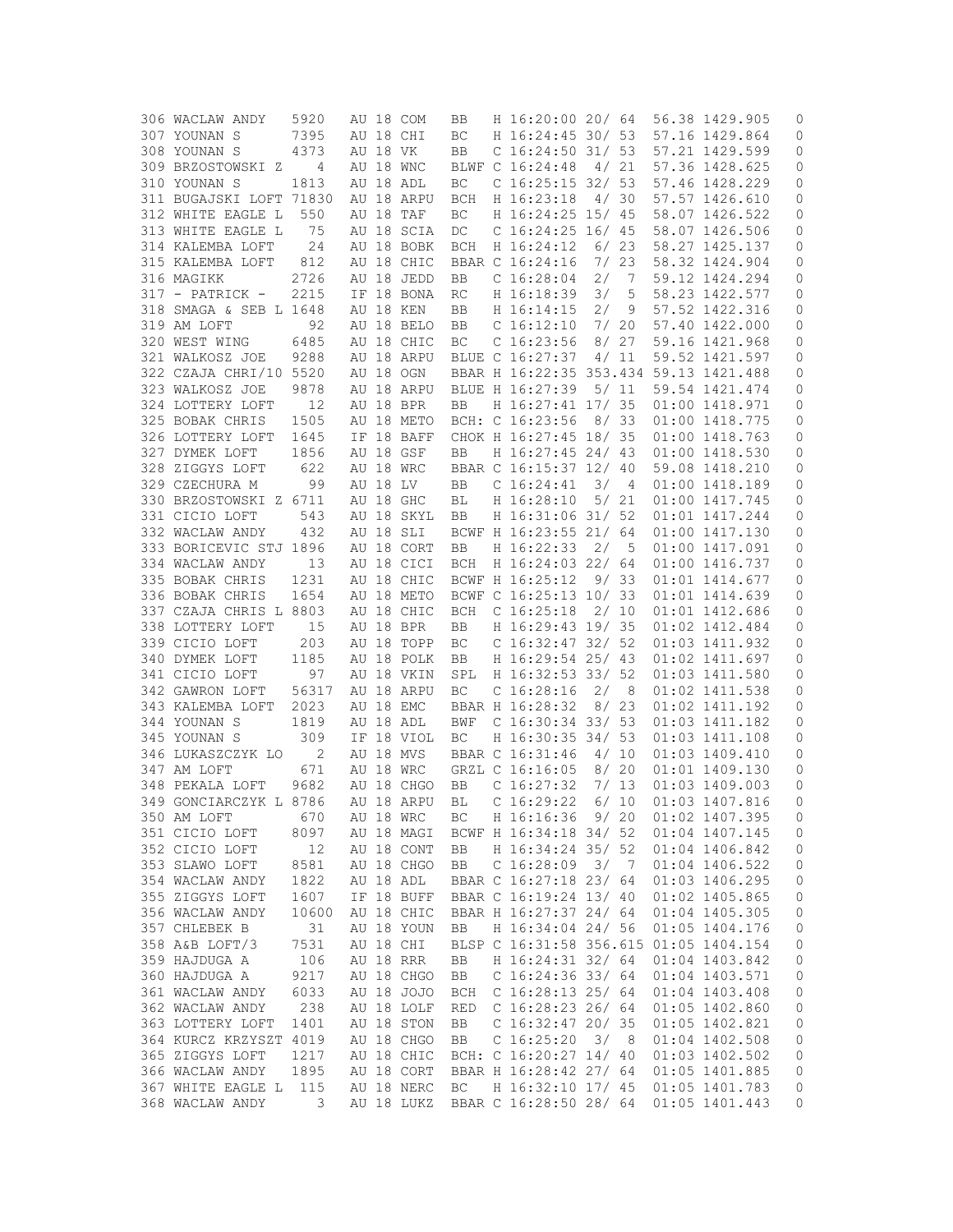| 306 WACLAW ANDY         | 5920  |       |          | AU 18 COM  | BB         | H 16:20:00 20/ 64                      |      |                | 56.38 1429.905                   | 0           |
|-------------------------|-------|-------|----------|------------|------------|----------------------------------------|------|----------------|----------------------------------|-------------|
| 307 YOUNAN S            | 7395  |       |          | AU 18 CHI  | BC         | H 16:24:45 30/ 53                      |      |                | 57.16 1429.864                   | 0           |
| 308 YOUNAN S            | 4373  |       | AU 18 VK |            | BB         | $C$ 16:24:50 31/53                     |      |                | 57.21 1429.599                   | 0           |
| 309 BRZOSTOWSKI Z       | 4     | AU 18 |          | WNC        |            | BLWF C 16:24:48                        |      | 4/21           | 57.36 1428.625                   | 0           |
| 310 YOUNAN S            | 1813  |       |          | AU 18 ADL  | ВC         | $C$ 16:25:15 32/ 53                    |      |                | 57.46 1428.229                   | 0           |
| 311 BUGAJSKI LOFT 71830 |       |       |          | AU 18 ARPU | <b>BCH</b> | H 16:23:18                             | 4/30 |                | 57.57 1426.610                   | 0           |
| 312 WHITE EAGLE L       | 550   | AU 18 |          | TAF        | ВC         | H 16:24:25 15/ 45                      |      |                | 58.07 1426.522                   | 0           |
| 313 WHITE EAGLE L       | 75    |       |          | AU 18 SCIA | DC         | C 16:24:25 16/ 45                      |      |                | 58.07 1426.506                   | 0           |
| 314 KALEMBA LOFT        | 24    |       |          | AU 18 BOBK | <b>BCH</b> | H 16:24:12                             |      | 6/23           | 58.27 1425.137                   | 0           |
| 315 KALEMBA LOFT        | 812   |       |          | AU 18 CHIC |            | BBAR C 16:24:16                        | 7/23 |                | 58.32 1424.904                   | 0           |
| 316 MAGIKK              | 2726  |       |          | AU 18 JEDD | BB         | $C$ 16:28:04                           | 2/   | 7              | 59.12 1424.294                   | 0           |
| $317$ - PATRICK -       | 2215  |       |          | IF 18 BONA | RC         | H 16:18:39                             | 3/   | 5              | 58.23 1422.577                   | 0           |
| 318 SMAGA & SEB L 1648  |       |       |          | AU 18 KEN  | BB         | H 16:14:15                             | 2/   | 9              | 57.52 1422.316                   | 0           |
| 319 AM LOFT             | 92    |       |          | AU 18 BELO |            |                                        | 7/   | 20             |                                  |             |
|                         |       |       |          |            | BB         | C <sub>16:12:10</sub>                  |      |                | 57.40 1422.000                   | 0           |
| 320 WEST WING           | 6485  |       |          | AU 18 CHIC | ВC         | C <sub>16:23:56</sub>                  |      | 8/27           | 59.16 1421.968                   | 0           |
| 321 WALKOSZ JOE         | 9288  |       |          | AU 18 ARPU |            | BLUE C 16:27:37                        |      | 4/11           | 59.52 1421.597                   | 0           |
| 322 CZAJA CHRI/10 5520  |       |       |          | AU 18 OGN  |            | BBAR H 16:22:35 353.434 59.13 1421.488 |      |                |                                  | 0           |
| 323 WALKOSZ JOE         | 9878  |       |          | AU 18 ARPU |            | BLUE H 16:27:39                        |      | 5/11           | 59.54 1421.474                   | 0           |
| 324 LOTTERY LOFT        | 12    |       |          | AU 18 BPR  | BB         | H 16:27:41 17/ 35                      |      |                | 01:00 1418.971                   | 0           |
| 325 BOBAK CHRIS         | 1505  |       |          | AU 18 METO |            | BCH: C 16:23:56                        |      | 8/33           | 01:00 1418.775                   | 0           |
| 326 LOTTERY LOFT        | 1645  |       |          | IF 18 BAFF |            | CHOK H 16:27:45 18/ 35                 |      |                | 01:00 1418.763                   | 0           |
| 327 DYMEK LOFT          | 1856  |       |          | AU 18 GSF  | BB         | H 16:27:45 24/ 43                      |      |                | 01:00 1418.530                   | 0           |
| 328 ZIGGYS LOFT         | 622   |       |          | AU 18 WRC  |            | BBAR C 16:15:37 12/ 40                 |      |                | 59.08 1418.210                   | 0           |
| 329 CZECHURA M          | 99    |       | AU 18 LV |            | BB         | C <sub>16:24:41</sub>                  | 3/   | 4              | 01:00 1418.189                   | 0           |
| 330 BRZOSTOWSKI Z 6711  |       |       |          | AU 18 GHC  | ВL         | H 16:28:10                             |      | 5/21           | 01:00 1417.745                   | 0           |
| 331 CICIO LOFT          | 543   |       |          | AU 18 SKYL | BB         | H 16:31:06 31/ 52                      |      |                | 01:01 1417.244                   | 0           |
| 332 WACLAW ANDY         | 432   |       |          | AU 18 SLI  |            | BCWF H 16:23:55 21/ 64                 |      |                | 01:00 1417.130                   | 0           |
| 333 BORICEVIC STJ 1896  |       |       |          | AU 18 CORT | BB         | H 16:22:33                             | 2/   | 5              | 01:00 1417.091                   | 0           |
| 334 WACLAW ANDY         | 13    |       |          | AU 18 CICI | <b>BCH</b> | H 16:24:03 22/ 64                      |      |                | 01:00 1416.737                   | 0           |
| 335 BOBAK CHRIS         | 1231  |       |          | AU 18 CHIC |            | BCWF H 16:25:12                        |      | 9/33           | 01:01 1414.677                   | 0           |
| 336 BOBAK CHRIS         | 1654  |       |          | AU 18 METO |            | BCWF C 16:25:13 10/                    |      | 33             | 01:01 1414.639                   | 0           |
| 337 CZAJA CHRIS L 8803  |       |       |          | AU 18 CHIC | BCH        | C <sub>16:25:18</sub>                  | 2/10 |                | 01:01 1412.686                   | 0           |
| 338 LOTTERY LOFT        | 15    |       |          | AU 18 BPR  | BB         | H 16:29:43 19/ 35                      |      |                | 01:02 1412.484                   | 0           |
| 339 CICIO LOFT          | 203   |       |          | AU 18 TOPP | BC         | C $16:32:47$ 32/ 52                    |      |                | 01:03 1411.932                   | 0           |
| 340 DYMEK LOFT          | 1185  |       |          | AU 18 POLK | BB         | H 16:29:54 25/ 43                      |      |                | 01:02 1411.697                   | 0           |
| 341 CICIO LOFT          | 97    |       |          | AU 18 VKIN | SPL        | H 16:32:53 33/ 52                      |      |                | 01:03 1411.580                   | 0           |
| 342 GAWRON LOFT         | 56317 |       |          | AU 18 ARPU | ВC         | C <sub>16:28:16</sub>                  | 2/   | 8              | 01:02 1411.538                   | 0           |
| 343 KALEMBA LOFT        | 2023  |       |          | AU 18 EMC  |            | BBAR H 16:28:32                        |      | 8/23           |                                  |             |
|                         |       |       |          |            |            | C 16:30:34 33/ 53                      |      |                | 01:02 1411.192<br>01:03 1411.182 | 0           |
| 344 YOUNAN S            | 1819  |       |          | AU 18 ADL  | BWF        |                                        |      |                |                                  | 0           |
| 345 YOUNAN S            | 309   |       |          | IF 18 VIOL | BC.        | H 16:30:35 34/ 53                      |      |                | 01:03 1411.108                   | 0           |
| 346 LUKASZCZYK LO       | 2     |       |          | AU 18 MVS  |            | BBAR C 16:31:46                        | 4/   | 10             | 01:03 1409.410                   | 0           |
| 347 AM LOFT             | 671   |       |          | AU 18 WRC  |            | GRZL C 16:16:05                        | 8/20 |                | 01:01 1409.130                   | 0           |
| 348 PEKALA LOFT         | 9682  |       |          | AU 18 CHGO | BB         | C $16:27:32$                           | 7/13 |                | 01:03 1409.003                   | 0           |
| 349 GONCIARCZYK L 8786  |       |       |          | AU 18 ARPU | BL         | C 16:29:22                             |      | 6/10           | 01:03 1407.816                   | 0           |
| 350 AM LOFT             | 670   |       |          | AU 18 WRC  | ВC         | H 16:16:36                             | 9/20 |                | 01:02 1407.395                   | 0           |
| 351 CICIO LOFT          | 8097  |       |          | AU 18 MAGI |            | BCWF H 16:34:18 34/ 52                 |      |                | 01:04 1407.145                   | 0           |
| 352 CICIO LOFT          | 12    |       |          | AU 18 CONT | BB         | H 16:34:24 35/ 52                      |      |                | 01:04 1406.842                   | $\mathbb O$ |
| 353 SLAWO LOFT          | 8581  |       |          | AU 18 CHGO | BB         | C <sub>16:28:09</sub>                  | 3/   | $\overline{7}$ | 01:04 1406.522                   | 0           |
| 354 WACLAW ANDY         | 1822  |       |          | AU 18 ADL  |            | BBAR C 16:27:18 23/ 64                 |      |                | 01:03 1406.295                   | $\mathbb O$ |
| 355 ZIGGYS LOFT         | 1607  |       |          | IF 18 BUFF |            | BBAR C 16:19:24 13/ 40                 |      |                | 01:02 1405.865                   | $\mathbb O$ |
| 356 WACLAW ANDY         | 10600 |       |          | AU 18 CHIC |            | BBAR H 16:27:37 24/ 64                 |      |                | 01:04 1405.305                   | 0           |
| 357 CHLEBEK B           | 31    |       |          | AU 18 YOUN | BB         | H 16:34:04 24/ 56                      |      |                | 01:05 1404.176                   | 0           |
| 358 A&B LOFT/3          | 7531  |       |          | AU 18 CHI  |            | BLSP C 16:31:58 356.615                |      |                | 01:05 1404.154                   | 0           |
| 359 HAJDUGA A           | 106   |       |          | AU 18 RRR  | BB         | H 16:24:31 32/ 64                      |      |                | 01:04 1403.842                   | $\mathbb O$ |
| 360 HAJDUGA A           | 9217  |       |          | AU 18 CHGO | BB         | C $16:24:36$ 33/64                     |      |                | 01:04 1403.571                   | 0           |
| 361 WACLAW ANDY         | 6033  |       |          | AU 18 JOJO | <b>BCH</b> | C $16:28:13$ 25/64                     |      |                | 01:04 1403.408                   | 0           |
| 362 WACLAW ANDY         | 238   |       |          | AU 18 LOLF | RED        | C $16:28:23$ 26/64                     |      |                | 01:05 1402.860                   | 0           |
| 363 LOTTERY LOFT        | 1401  |       |          | AU 18 STON | BB         | $C$ 16:32:47 20/ 35                    |      |                | 01:05 1402.821                   | 0           |
| 364 KURCZ KRZYSZT 4019  |       |       |          | AU 18 CHGO | BB         | $C$ 16:25:20                           | 3/   | - 8            | 01:04 1402.508                   | $\mathbb O$ |
| 365 ZIGGYS LOFT         | 1217  |       |          | AU 18 CHIC |            | BCH: C 16:20:27 14/ 40                 |      |                | 01:03 1402.502                   | 0           |
| 366 WACLAW ANDY         | 1895  |       |          | AU 18 CORT |            | BBAR H 16:28:42 27/ 64                 |      |                | 01:05 1401.885                   | 0           |
| 367 WHITE EAGLE L       | 115   |       |          | AU 18 NERC | ВC         | H 16:32:10 17/ 45                      |      |                | 01:05 1401.783                   | 0           |
| 368 WACLAW ANDY         | 3     |       |          | AU 18 LUKZ |            | BBAR C 16:28:50 28/ 64                 |      |                | 01:05 1401.443                   | 0           |
|                         |       |       |          |            |            |                                        |      |                |                                  |             |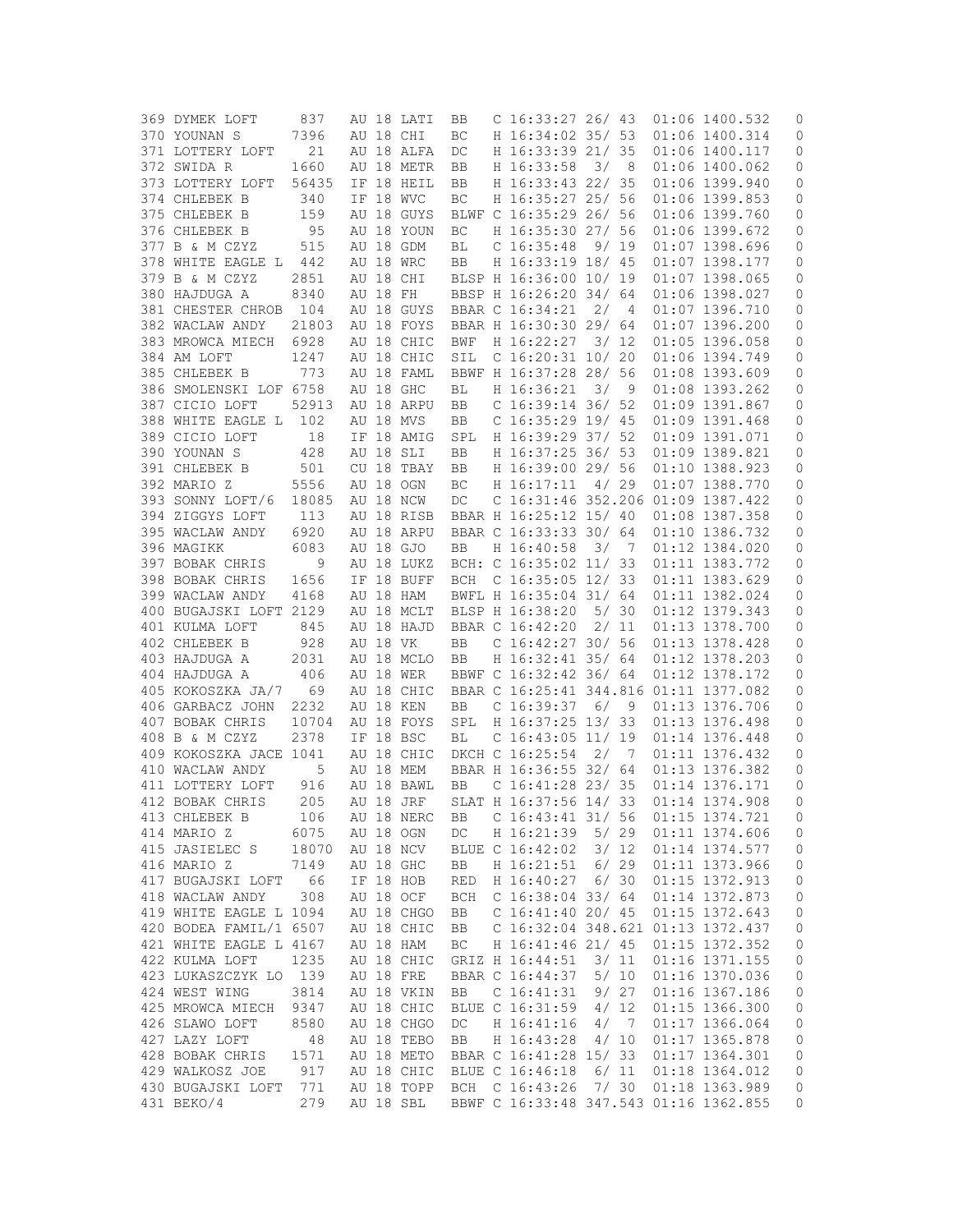| 369 DYMEK LOFT         | 837   |          | AU 18 LATI | BB         | C $16:33:27$ 26/43                     |      |                | 01:06 1400.532 | 0                   |
|------------------------|-------|----------|------------|------------|----------------------------------------|------|----------------|----------------|---------------------|
| 370 YOUNAN S           | 7396  |          | AU 18 CHI  | BC         | H 16:34:02 35/ 53                      |      |                | 01:06 1400.314 | 0                   |
| 371 LOTTERY LOFT       | 21    |          | AU 18 ALFA | DC         | H 16:33:39 21/ 35                      |      |                | 01:06 1400.117 | 0                   |
| 372 SWIDA R            | 1660  |          | AU 18 METR | BB         | H 16:33:58                             | 3/   | - 8            | 01:06 1400.062 | 0                   |
| 373 LOTTERY LOFT       | 56435 |          | IF 18 HEIL | BB         | H 16:33:43 22/ 35                      |      |                | 01:06 1399.940 | 0                   |
| 374 CHLEBEK B          | 340   |          | IF 18 WVC  | BC         | H 16:35:27 25/ 56                      |      |                | 01:06 1399.853 | 0                   |
|                        |       |          |            |            |                                        |      |                |                |                     |
| 375 CHLEBEK B          | 159   |          | AU 18 GUYS |            | BLWF C 16:35:29 26/ 56                 |      |                | 01:06 1399.760 | 0                   |
| 376 CHLEBEK B          | 95    |          | AU 18 YOUN | BC         | H 16:35:30 27/ 56                      |      |                | 01:06 1399.672 | 0                   |
| 377 B & M CZYZ         | 515   |          | AU 18 GDM  | ВL         | C <sub>16:35:48</sub>                  |      | 9/19           | 01:07 1398.696 | 0                   |
| 378 WHITE EAGLE L 442  |       |          | AU 18 WRC  | BB         | H 16:33:19 18/ 45                      |      |                | 01:07 1398.177 | 0                   |
| 379 B & M CZYZ         | 2851  |          | AU 18 CHI  |            | BLSP H 16:36:00 10/ 19                 |      |                | 01:07 1398.065 | $\mathbb O$         |
| 380 HAJDUGA A          | 8340  | AU 18 FH |            |            | BBSP H 16:26:20 34/ 64                 |      |                | 01:06 1398.027 | 0                   |
| 381 CHESTER CHROB 104  |       |          | AU 18 GUYS |            | BBAR C 16:34:21                        | 2/   | -4             | 01:07 1396.710 | 0                   |
| 382 WACLAW ANDY        | 21803 |          | AU 18 FOYS |            | BBAR H 16:30:30 29/ 64                 |      |                | 01:07 1396.200 | 0                   |
| 383 MROWCA MIECH       | 6928  |          | AU 18 CHIC | <b>BWF</b> | H 16:22:27                             | 3/12 |                | 01:05 1396.058 | 0                   |
| 384 AM LOFT            | 1247  |          | AU 18 CHIC | SIL        | $C$ 16:20:31 10/20                     |      |                | 01:06 1394.749 | 0                   |
| 385 CHLEBEK B          | 773   |          | AU 18 FAML |            | BBWF H 16:37:28 28/ 56                 |      |                | 01:08 1393.609 | 0                   |
|                        |       |          |            |            |                                        |      |                |                |                     |
| 386 SMOLENSKI LOF 6758 |       |          | AU 18 GHC  | ВL         | H 16:36:21                             | 3/   | 9              | 01:08 1393.262 | 0                   |
| 387 CICIO LOFT         | 52913 |          | AU 18 ARPU | BB         | C 16:39:14 36/ 52                      |      |                | 01:09 1391.867 | 0                   |
| 388 WHITE EAGLE L      | 102   |          | AU 18 MVS  | BB         | $C$ 16:35:29 19/45                     |      |                | 01:09 1391.468 | 0                   |
| 389 CICIO LOFT         | 18    |          | IF 18 AMIG | SPL        | H 16:39:29 37/ 52                      |      |                | 01:09 1391.071 | 0                   |
| 390 YOUNAN S           | 428   |          | AU 18 SLI  | BB         | H 16:37:25 36/ 53                      |      |                | 01:09 1389.821 | 0                   |
| 391 CHLEBEK B          | 501   |          | CU 18 TBAY | BB         | H 16:39:00 29/ 56                      |      |                | 01:10 1388.923 | 0                   |
| 392 MARIO Z            | 5556  |          | AU 18 OGN  | ВC         | H 16:17:11                             |      | 4/29           | 01:07 1388.770 | 0                   |
| 393 SONNY LOFT/6       | 18085 |          | AU 18 NCW  | DC         | C 16:31:46 352.206 01:09 1387.422      |      |                |                | 0                   |
| 394 ZIGGYS LOFT        | 113   |          | AU 18 RISB |            | BBAR H 16:25:12 15/ 40                 |      |                | 01:08 1387.358 | 0                   |
| 395 WACLAW ANDY        | 6920  |          | AU 18 ARPU |            | BBAR C 16:33:33 30/ 64                 |      |                | 01:10 1386.732 | 0                   |
| 396 MAGIKK             | 6083  |          | AU 18 GJO  | BB         | H 16:40:58                             | 3/   | 7              | 01:12 1384.020 | 0                   |
| 397 BOBAK CHRIS        | 9     |          | AU 18 LUKZ |            | BCH: C 16:35:02 11/ 33                 |      |                | 01:11 1383.772 | 0                   |
| 398 BOBAK CHRIS        | 1656  |          | IF 18 BUFF | BCH        | C $16:35:05$ $12/33$                   |      |                | 01:11 1383.629 | 0                   |
| 399 WACLAW ANDY        | 4168  |          | AU 18 HAM  |            | BWFL H 16:35:04 31/ 64                 |      |                | 01:11 1382.024 | 0                   |
|                        |       |          | AU 18 MCLT |            |                                        | 5/30 |                |                |                     |
| 400 BUGAJSKI LOFT 2129 |       |          |            |            | BLSP H 16:38:20                        |      |                | 01:12 1379.343 | 0                   |
| 401 KULMA LOFT         | 845   |          | AU 18 HAJD |            | BBAR C 16:42:20                        | 2/11 |                | 01:13 1378.700 | 0                   |
| 402 CHLEBEK B          | 928   | AU 18 VK |            | BB         | C $16:42:27$ 30/ 56                    |      |                | 01:13 1378.428 | 0                   |
| 403 HAJDUGA A          | 2031  |          | AU 18 MCLO | BB         | H 16:32:41 35/ 64                      |      |                | 01:12 1378.203 | 0                   |
| 404 HAJDUGA A          | 406   |          | AU 18 WER  |            | BBWF C 16:32:42 36/ 64                 |      |                | 01:12 1378.172 | 0                   |
| 405 KOKOSZKA JA/7 69   |       |          | AU 18 CHIC |            | BBAR C 16:25:41 344.816 01:11 1377.082 |      |                |                | 0                   |
| 406 GARBACZ JOHN       | 2232  |          | AU 18 KEN  | BB         | C <sub>16:39:37</sub>                  | 6/   | 9              | 01:13 1376.706 | 0                   |
| 407 BOBAK CHRIS        | 10704 |          | AU 18 FOYS | SPL        | H 16:37:25 13/33                       |      |                | 01:13 1376.498 | 0                   |
| 408 B & M CZYZ         | 2378  |          | IF 18 BSC  | ВL         | $C$ 16:43:05 11/ 19                    |      |                | 01:14 1376.448 | 0                   |
| 409 KOKOSZKA JACE 1041 |       |          | AU 18 CHIC |            | DKCH C 16:25:54                        | 2/   | - 7            | 01:11 1376.432 | 0                   |
| 410 WACLAW ANDY        | 5     |          | AU 18 MEM  |            | BBAR H 16:36:55 32/ 64                 |      |                | 01:13 1376.382 | 0                   |
| 411 LOTTERY LOFT       | 916   |          | AU 18 BAWL | BB         | $C$ 16:41:28 23/35                     |      |                | 01:14 1376.171 | 0                   |
| 412 BOBAK CHRIS        | 205   |          | AU 18 JRF  |            | SLAT H 16:37:56 14/ 33                 |      |                | 01:14 1374.908 | 0                   |
| 413 CHLEBEK B          | 106   |          | AU 18 NERC | BB         | C $16:43:41$ 31/ 56                    |      |                | 01:15 1374.721 | 0                   |
| 414 MARIO Z            | 6075  |          | AU 18 OGN  | DC         | H 16:21:39                             | 5/29 |                | 01:11 1374.606 | 0                   |
| 415 JASIELEC S         | 18070 |          | AU 18 NCV  |            | BLUE C 16:42:02                        | 3/12 |                | 01:14 1374.577 | 0                   |
|                        |       |          | AU 18 GHC  |            | H 16:21:51                             |      | 6/29           |                |                     |
| 416 MARIO Z            | 7149  |          |            | BB         |                                        |      |                | 01:11 1373.966 | 0                   |
| 417 BUGAJSKI LOFT      | 66    |          | IF 18 HOB  | <b>RED</b> | H 16:40:27                             |      | 6/30           | 01:15 1372.913 | 0                   |
| 418 WACLAW ANDY        | 308   |          | AU 18 OCF  | BCH        | C 16:38:04 33/ 64                      |      |                | 01:14 1372.873 | $\mathbb O$         |
| 419 WHITE EAGLE L 1094 |       |          | AU 18 CHGO | BB         | C 16:41:40 20/ 45                      |      |                | 01:15 1372.643 | $\mathsf{O}\xspace$ |
| 420 BODEA FAMIL/1 6507 |       |          | AU 18 CHIC | BB         | C 16:32:04 348.621 01:13 1372.437      |      |                |                | $\mathbf 0$         |
| 421 WHITE EAGLE L 4167 |       |          | AU 18 HAM  | ВC         | H 16:41:46 21/ 45                      |      |                | 01:15 1372.352 | 0                   |
| 422 KULMA LOFT         | 1235  |          | AU 18 CHIC |            | GRIZ H 16:44:51                        |      | 3/11           | 01:16 1371.155 | $\mathbb O$         |
| 423 LUKASZCZYK LO 139  |       |          | AU 18 FRE  |            | BBAR C 16:44:37                        | 5/10 |                | 01:16 1370.036 | 0                   |
| 424 WEST WING          | 3814  |          | AU 18 VKIN | BB         | C <sub>16:41:31</sub>                  |      | 9/27           | 01:16 1367.186 | 0                   |
| 425 MROWCA MIECH       | 9347  |          | AU 18 CHIC |            | BLUE C 16:31:59                        | 4/12 |                | 01:15 1366.300 | 0                   |
| 426 SLAWO LOFT         | 8580  |          | AU 18 CHGO | DC         | H 16:41:16                             | 4/   | $\overline{7}$ | 01:17 1366.064 | 0                   |
| 427 LAZY LOFT          | 48    |          | AU 18 TEBO | BB         | H 16:43:28                             |      | 4/10           | 01:17 1365.878 | 0                   |
| 428 BOBAK CHRIS        | 1571  |          | AU 18 METO |            | BBAR C 16:41:28 15/ 33                 |      |                | 01:17 1364.301 | 0                   |
| 429 WALKOSZ JOE        | 917   |          | AU 18 CHIC |            | BLUE C 16:46:18                        |      | 6/11           | 01:18 1364.012 | 0                   |
| 430 BUGAJSKI LOFT      | 771   |          | AU 18 TOPP | BCH        | $C$ 16:43:26                           |      | 7/30           | 01:18 1363.989 | 0                   |
| 431 BEKO/4             | 279   |          | AU 18 SBL  |            | BBWF C 16:33:48 347.543 01:16 1362.855 |      |                |                | 0                   |
|                        |       |          |            |            |                                        |      |                |                |                     |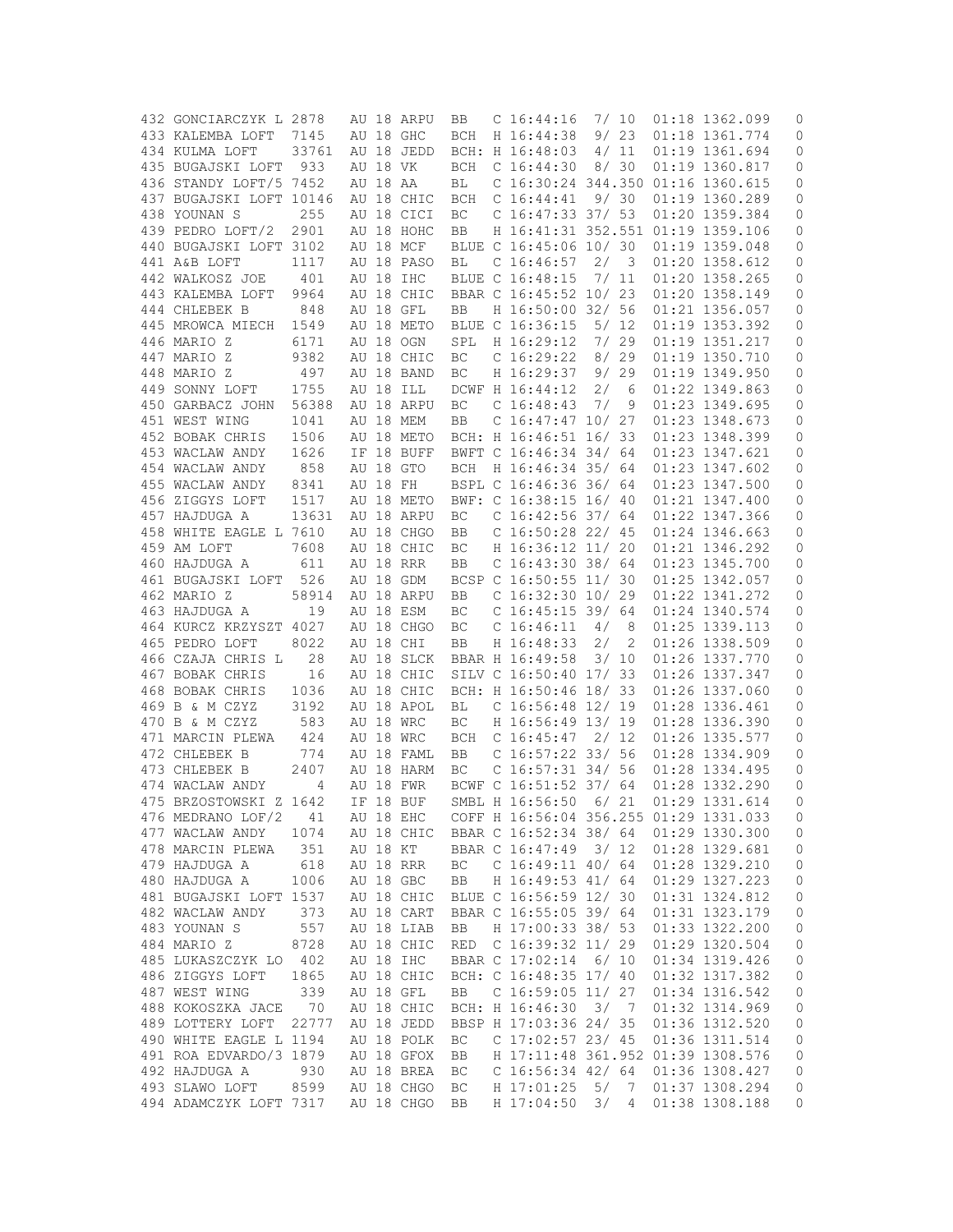| 432 GONCIARCZYK L 2878  |       |          | AU 18 ARPU | BB         | C <sub>16:44:16</sub>                  | 7/ 10 |                | 01:18 1362.099 | 0                   |
|-------------------------|-------|----------|------------|------------|----------------------------------------|-------|----------------|----------------|---------------------|
| 433 KALEMBA LOFT        | 7145  |          | AU 18 GHC  | <b>BCH</b> | H 16:44:38                             |       | 9/23           | 01:18 1361.774 | 0                   |
| 434 KULMA LOFT          | 33761 |          | AU 18 JEDD |            | BCH: H 16:48:03                        |       | 4/11           | 01:19 1361.694 | 0                   |
| 435 BUGAJSKI LOFT       | 933   | AU 18 VK |            | BCH        | C <sub>16:44:30</sub>                  |       | 8/30           | 01:19 1360.817 | 0                   |
| 436 STANDY LOFT/5 7452  |       | AU 18 AA |            | ВL         | C 16:30:24 344.350 01:16 1360.615      |       |                |                | 0                   |
| 437 BUGAJSKI LOFT 10146 |       |          | AU 18 CHIC | <b>BCH</b> | C <sub>16:44:41</sub>                  |       | 9/30           | 01:19 1360.289 | 0                   |
| 438 YOUNAN S            |       |          |            |            | C $16:47:33$ 37/ 53                    |       |                | 01:20 1359.384 |                     |
|                         | 255   |          | AU 18 CICI | BC         |                                        |       |                |                | 0                   |
| 439 PEDRO LOFT/2        | 2901  |          | AU 18 HOHC | BB         | H 16:41:31 352.551 01:19 1359.106      |       |                |                | 0                   |
| 440 BUGAJSKI LOFT 3102  |       |          | AU 18 MCF  |            | BLUE C 16:45:06 10/ 30                 |       |                | 01:19 1359.048 | 0                   |
| 441 A&B LOFT            | 1117  |          | AU 18 PASO | ВL         | C <sub>16:46:57</sub>                  | 2/3   |                | 01:20 1358.612 | 0                   |
| 442 WALKOSZ JOE         | 401   |          | AU 18 IHC  |            | BLUE C 16:48:15                        |       | 7/11           | 01:20 1358.265 | 0                   |
| 443 KALEMBA LOFT        | 9964  |          | AU 18 CHIC |            | BBAR C 16:45:52 10/ 23                 |       |                | 01:20 1358.149 | 0                   |
| 444 CHLEBEK B           | 848   |          | AU 18 GFL  | BB         | H 16:50:00 32/ 56                      |       |                | 01:21 1356.057 | 0                   |
| 445 MROWCA MIECH        | 1549  |          | AU 18 METO |            | BLUE C 16:36:15                        | 5/12  |                | 01:19 1353.392 | 0                   |
| 446 MARIO Z             | 6171  |          | AU 18 OGN  | SPL        | H 16:29:12                             |       | 7/29           | 01:19 1351.217 | 0                   |
| 447 MARIO Z             | 9382  |          | AU 18 CHIC | ВC         | C $16:29:22$                           |       | 8/29           | 01:19 1350.710 | 0                   |
| 448 MARIO Z             | 497   |          | AU 18 BAND | BC         | H 16:29:37                             |       | 9/29           | 01:19 1349.950 | 0                   |
|                         |       |          |            |            |                                        |       |                |                |                     |
| 449 SONNY LOFT          | 1755  |          | AU 18 ILL  |            | DCWF H 16:44:12                        | 2/    | 6              | 01:22 1349.863 | 0                   |
| 450 GARBACZ JOHN        | 56388 |          | AU 18 ARPU | BC         | C <sub>16:48:43</sub>                  | 7/    | 9              | 01:23 1349.695 | 0                   |
| 451 WEST WING           | 1041  |          | AU 18 MEM  | BB         | C $16:47:47$ $10/27$                   |       |                | 01:23 1348.673 | 0                   |
| 452 BOBAK CHRIS         | 1506  |          | AU 18 METO |            | BCH: H 16:46:51 16/ 33                 |       |                | 01:23 1348.399 | 0                   |
| 453 WACLAW ANDY         | 1626  |          | IF 18 BUFF |            | BWFT C 16:46:34 34/ 64                 |       |                | 01:23 1347.621 | 0                   |
| 454 WACLAW ANDY         | 858   |          | AU 18 GTO  | BCH        | H 16:46:34 35/ 64                      |       |                | 01:23 1347.602 | 0                   |
| 455 WACLAW ANDY         | 8341  | AU 18 FH |            |            | BSPL C 16:46:36 36/ 64                 |       |                | 01:23 1347.500 | 0                   |
| 456 ZIGGYS LOFT         | 1517  |          | AU 18 METO |            | BWF: C 16:38:15 16/ 40                 |       |                | 01:21 1347.400 | 0                   |
| 457 HAJDUGA A           | 13631 |          | AU 18 ARPU | BC         | C $16:42:56$ 37/64                     |       |                | 01:22 1347.366 | 0                   |
| 458 WHITE EAGLE L 7610  |       |          |            |            | C $16:50:28$ 22/ 45                    |       |                |                |                     |
|                         |       |          | AU 18 CHGO | BB         |                                        |       |                | 01:24 1346.663 | 0                   |
| 459 AM LOFT             | 7608  |          | AU 18 CHIC | ВC         | H 16:36:12 11/ 20                      |       |                | 01:21 1346.292 | 0                   |
| 460 HAJDUGA A           | 611   |          | AU 18 RRR  | BB         | C $16:43:30$ 38/64                     |       |                | 01:23 1345.700 | 0                   |
| 461 BUGAJSKI LOFT       | 526   |          | AU 18 GDM  |            | BCSP C 16:50:55 11/ 30                 |       |                | 01:25 1342.057 | 0                   |
| 462 MARIO Z             | 58914 |          | AU 18 ARPU | BB         | $C$ 16:32:30 10/29                     |       |                | 01:22 1341.272 | 0                   |
| 463 HAJDUGA A           | 19    |          | AU 18 ESM  | ВC         | C 16:45:15 39/ 64                      |       |                | 01:24 1340.574 | 0                   |
| 464 KURCZ KRZYSZT 4027  |       |          | AU 18 CHGO | ВC         | C <sub>16:46:11</sub>                  | 4/    | 8              | 01:25 1339.113 | 0                   |
| 465 PEDRO LOFT          | 8022  |          | AU 18 CHI  | BB         | H 16:48:33                             | 2/    | 2              | 01:26 1338.509 | 0                   |
| 466 CZAJA CHRIS L       | 28    |          | AU 18 SLCK |            | BBAR H 16:49:58                        | 3/10  |                | 01:26 1337.770 | 0                   |
| 467 BOBAK CHRIS         | 16    |          | AU 18 CHIC |            | SILV C 16:50:40 17/ 33                 |       |                | 01:26 1337.347 | 0                   |
| 468 BOBAK CHRIS         | 1036  |          | AU 18 CHIC |            | BCH: H 16:50:46 18/ 33                 |       |                | 01:26 1337.060 | 0                   |
| 469 B & M CZYZ          | 3192  |          | AU 18 APOL | BL         | $C$ 16:56:48 12/ 19                    |       |                | 01:28 1336.461 | 0                   |
|                         |       |          |            |            |                                        |       |                |                |                     |
| 470 B & M CZYZ          | 583   |          | AU 18 WRC  | ВC         | H 16:56:49 13/ 19                      |       |                | 01:28 1336.390 | 0                   |
| 471 MARCIN PLEWA        | 424   |          | AU 18 WRC  | BCH        | C <sub>16:45:47</sub>                  | 2/12  |                | 01:26 1335.577 | 0                   |
| 472 CHLEBEK B           | 774   |          | AU 18 FAML | BB         | C $16:57:22$ 33/                       |       | 56             | 01:28 1334.909 | 0                   |
| 473 CHLEBEK B           | 2407  |          | AU 18 HARM | ВC         | C $16:57:31$ 34/ 56                    |       |                | 01:28 1334.495 | 0                   |
| 474 WACLAW ANDY         | 4     |          | AU 18 FWR  |            | BCWF C 16:51:52 37/ 64                 |       |                | 01:28 1332.290 | 0                   |
| 475 BRZOSTOWSKI Z 1642  |       |          | IF 18 BUF  |            | SMBL H 16:56:50                        | 6/21  |                | 01:29 1331.614 | 0                   |
| 476 MEDRANO LOF/2       | 41    |          | AU 18 EHC  |            | COFF H 16:56:04 356.255 01:29 1331.033 |       |                |                | 0                   |
| 477 WACLAW ANDY         | 1074  |          | AU 18 CHIC |            | BBAR C 16:52:34 38/ 64                 |       |                | 01:29 1330.300 | 0                   |
| 478 MARCIN PLEWA        | 351   |          | AU 18 KT   |            | BBAR C 16:47:49 3/12                   |       |                | 01:28 1329.681 | $\mathbb O$         |
| 479 HAJDUGA A           | 618   |          | AU 18 RRR  | ВC         | C 16:49:11 40/ 64                      |       |                | 01:28 1329.210 | $\mathbb O$         |
| 480 HAJDUGA A           | 1006  |          | AU 18 GBC  | BB         | H 16:49:53 41/ 64                      |       |                | 01:29 1327.223 | $\circ$             |
| 481 BUGAJSKI LOFT 1537  |       |          | AU 18 CHIC |            | BLUE C 16:56:59 12/ 30                 |       |                | 01:31 1324.812 | $\mathbb O$         |
|                         |       |          |            |            |                                        |       |                | 01:31 1323.179 |                     |
| 482 WACLAW ANDY         | 373   |          | AU 18 CART |            | BBAR C 16:55:05 39/ 64                 |       |                |                | $\mathsf{O}\xspace$ |
| 483 YOUNAN S            | 557   |          | AU 18 LIAB | BB         | H 17:00:33 38/ 53                      |       |                | 01:33 1322.200 | 0                   |
| 484 MARIO Z             | 8728  |          | AU 18 CHIC | RED        | C $16:39:32$ $11/29$                   |       |                | 01:29 1320.504 | 0                   |
| 485 LUKASZCZYK LO       | 402   |          | AU 18 IHC  |            | BBAR C 17:02:14                        |       | 6/10           | 01:34 1319.426 | 0                   |
| 486 ZIGGYS LOFT         | 1865  |          | AU 18 CHIC |            | BCH: C 16:48:35 17/ 40                 |       |                | 01:32 1317.382 | 0                   |
| 487 WEST WING           | 339   |          | AU 18 GFL  | BB         | C $16:59:05$ 11/ 27                    |       |                | 01:34 1316.542 | 0                   |
| 488 KOKOSZKA JACE       | 70    |          | AU 18 CHIC |            | BCH: H 16:46:30                        | 3/7   |                | 01:32 1314.969 | $\mathbb O$         |
| 489 LOTTERY LOFT        | 22777 |          | AU 18 JEDD |            | BBSP H 17:03:36 24/ 35                 |       |                | 01:36 1312.520 | 0                   |
| 490 WHITE EAGLE L 1194  |       |          | AU 18 POLK | BC         | C $17:02:57$ 23/ 45                    |       |                | 01:36 1311.514 | 0                   |
| 491 ROA EDVARDO/3 1879  |       |          | AU 18 GFOX | BB         | H 17:11:48 361.952 01:39 1308.576      |       |                |                | $\mathbb O$         |
| 492 HAJDUGA A           | 930   |          | AU 18 BREA | BC         | C 16:56:34 42/ 64                      |       |                | 01:36 1308.427 | 0                   |
|                         |       |          |            |            |                                        |       |                |                |                     |
| 493 SLAWO LOFT          | 8599  |          | AU 18 CHGO | ВC         | H 17:01:25                             | 5/    | $\overline{7}$ | 01:37 1308.294 | 0                   |
| 494 ADAMCZYK LOFT 7317  |       |          | AU 18 CHGO | BB         | H 17:04:50                             | 3/    | 4              | 01:38 1308.188 | 0                   |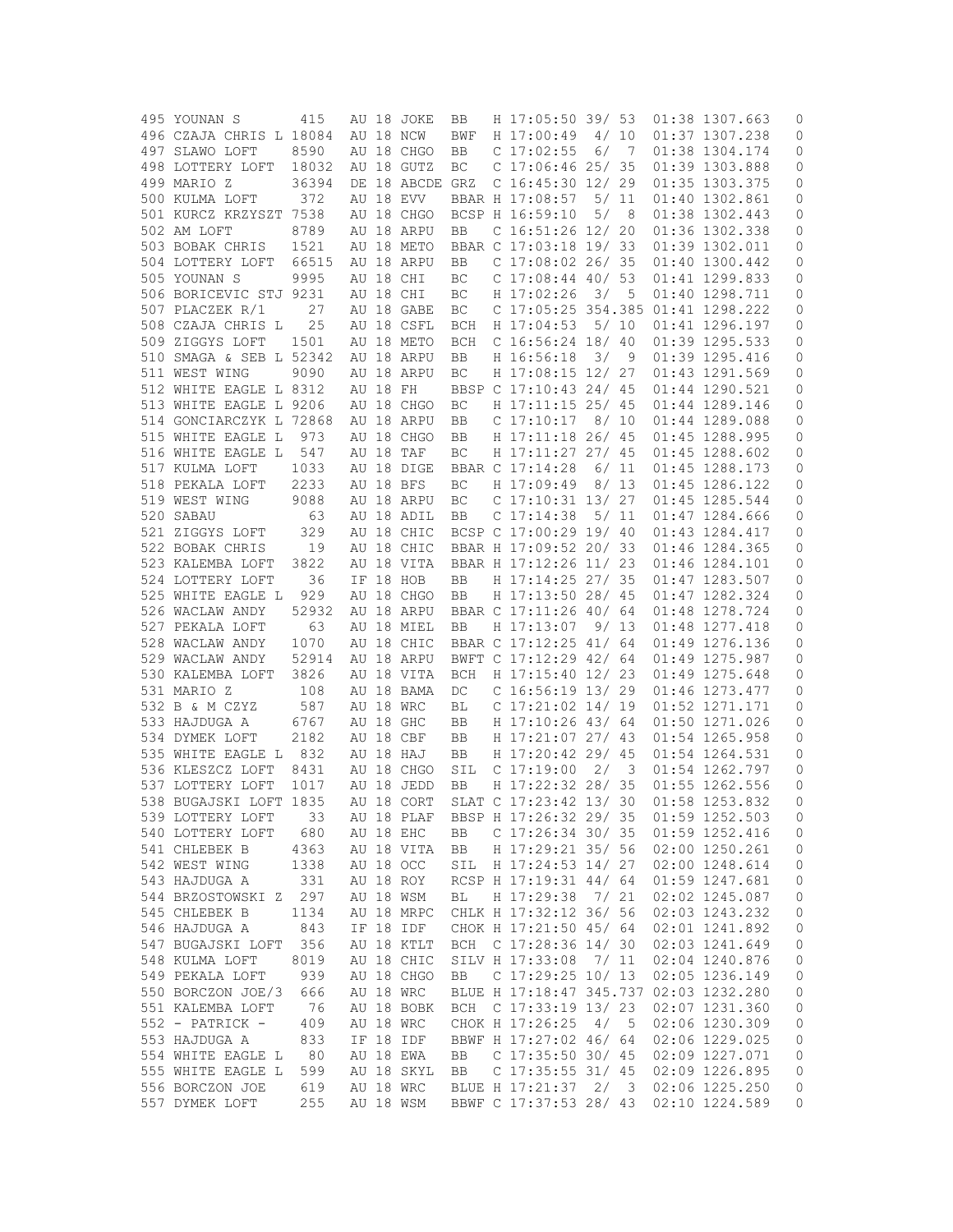| 495 YOUNAN S            | 415   |       |          | AU 18 JOKE      | BB         | H 17:05:50 39/ 53       |      |       | 01:38 1307.663 | 0                   |
|-------------------------|-------|-------|----------|-----------------|------------|-------------------------|------|-------|----------------|---------------------|
| 496 CZAJA CHRIS L 18084 |       |       |          | AU 18 NCW       | BWF        | H 17:00:49              | 4/10 |       | 01:37 1307.238 | 0                   |
| 497 SLAWO LOFT          | 8590  |       |          | AU 18 CHGO      | BB         | $C$ 17:02:55            | 6/   | - 7   | 01:38 1304.174 | 0                   |
| 498 LOTTERY LOFT        | 18032 |       |          | AU 18 GUTZ      | ВC         | $C$ 17:06:46 25/ 35     |      |       | 01:39 1303.888 | 0                   |
| 499 MARIO Z             | 36394 |       |          | DE 18 ABCDE GRZ |            | C 16:45:30 12/ 29       |      |       | 01:35 1303.375 | 0                   |
| 500 KULMA LOFT          | 372   |       |          | AU 18 EVV       |            | BBAR H 17:08:57         |      | 5/11  | 01:40 1302.861 | 0                   |
|                         |       |       |          |                 |            |                         |      |       |                |                     |
| 501 KURCZ KRZYSZT 7538  |       |       |          | AU 18 CHGO      |            | BCSP H 16:59:10         | 5/   | 8     | 01:38 1302.443 | 0                   |
| 502 AM LOFT             | 8789  |       |          | AU 18 ARPU      | BB         | C 16:51:26 12/          |      | 20    | 01:36 1302.338 | 0                   |
| 503 BOBAK CHRIS         | 1521  |       |          | AU 18 METO      |            | BBAR C 17:03:18 19/ 33  |      |       | 01:39 1302.011 | 0                   |
| 504 LOTTERY LOFT        | 66515 |       |          | AU 18 ARPU      | BB         | C $17:08:02$ 26/35      |      |       | 01:40 1300.442 | 0                   |
| 505 YOUNAN S            | 9995  |       |          | AU 18 CHI       | BC         | $C$ 17:08:44 40/ 53     |      |       | 01:41 1299.833 | 0                   |
| 506 BORICEVIC STJ 9231  |       |       |          | AU 18 CHI       | ВC         | H 17:02:26              | 3/   | 5     | 01:40 1298.711 | 0                   |
| 507 PLACZEK R/1         | 27    |       |          | AU 18 GABE      | ВC         | $C$ 17:05:25 354.385    |      |       | 01:41 1298.222 | 0                   |
| 508 CZAJA CHRIS L       | 25    |       |          | AU 18 CSFL      | BCH        | H 17:04:53              | 5/10 |       | 01:41 1296.197 | 0                   |
| 509 ZIGGYS LOFT         | 1501  |       |          | AU 18 METO      | BCH        | C 16:56:24 18/ 40       |      |       | 01:39 1295.533 | 0                   |
| 510 SMAGA & SEB L 52342 |       |       |          | AU 18 ARPU      | BB         | H 16:56:18              | 3/   | 9     | 01:39 1295.416 | 0                   |
| 511 WEST WING           | 9090  |       |          | AU 18 ARPU      | ВC         | H 17:08:15 12/ 27       |      |       | 01:43 1291.569 | 0                   |
|                         |       |       |          |                 |            |                         |      |       |                |                     |
| 512 WHITE EAGLE L 8312  |       |       | AU 18 FH |                 |            | BBSP C 17:10:43 24/ 45  |      |       | 01:44 1290.521 | 0                   |
| 513 WHITE EAGLE L 9206  |       |       |          | AU 18 CHGO      | ВC         | H 17:11:15 25/ 45       |      |       | 01:44 1289.146 | 0                   |
| 514 GONCIARCZYK L 72868 |       |       |          | AU 18 ARPU      | BB         | $C$ 17:10:17            | 8/10 |       | 01:44 1289.088 | 0                   |
| 515 WHITE EAGLE L       | 973   |       |          | AU 18 CHGO      | BB         | H 17:11:18 26/ 45       |      |       | 01:45 1288.995 | 0                   |
| 516 WHITE EAGLE L       | 547   | AU 18 |          | TAF             | ВC         | H 17:11:27 27/ 45       |      |       | 01:45 1288.602 | 0                   |
| 517 KULMA LOFT          | 1033  |       |          | AU 18 DIGE      |            | BBAR C 17:14:28         |      | 6/ 11 | 01:45 1288.173 | 0                   |
| 518 PEKALA LOFT         | 2233  |       |          | AU 18 BFS       | ВC         | H 17:09:49              |      | 8/13  | 01:45 1286.122 | 0                   |
| 519 WEST WING           | 9088  |       |          | AU 18 ARPU      | ВC         | C 17:10:31 13/ 27       |      |       | 01:45 1285.544 | 0                   |
| 520 SABAU               | 63    |       |          | AU 18 ADIL      | BB         | C <sub>17:14:38</sub>   |      | 5/11  | 01:47 1284.666 | 0                   |
| 521 ZIGGYS LOFT         | 329   |       |          | AU 18 CHIC      |            | BCSP C 17:00:29 19/ 40  |      |       | 01:43 1284.417 | 0                   |
|                         |       |       |          |                 |            |                         |      |       |                |                     |
| 522 BOBAK CHRIS         | 19    |       |          | AU 18 CHIC      |            | BBAR H 17:09:52 20/ 33  |      |       | 01:46 1284.365 | 0                   |
| 523 KALEMBA LOFT        | 3822  |       |          | AU 18 VITA      |            | BBAR H 17:12:26 11/ 23  |      |       | 01:46 1284.101 | 0                   |
| 524 LOTTERY LOFT        | 36    |       |          | IF 18 HOB       | BB         | H 17:14:25 27/ 35       |      |       | 01:47 1283.507 | 0                   |
| 525 WHITE EAGLE L       | 929   |       |          | AU 18 CHGO      | BB         | H 17:13:50 28/ 45       |      |       | 01:47 1282.324 | 0                   |
| 526 WACLAW ANDY         | 52932 |       |          | AU 18 ARPU      |            | BBAR C 17:11:26 40/ 64  |      |       | 01:48 1278.724 | 0                   |
| 527 PEKALA LOFT         | 63    |       |          | AU 18 MIEL      | BB         | H 17:13:07              |      | 9/13  | 01:48 1277.418 | 0                   |
| 528 WACLAW ANDY         | 1070  |       |          | AU 18 CHIC      |            | BBAR C 17:12:25 41/ 64  |      |       | 01:49 1276.136 | 0                   |
| 529 WACLAW ANDY         | 52914 |       |          | AU 18 ARPU      |            | BWFT C 17:12:29 42/ 64  |      |       | 01:49 1275.987 | 0                   |
| 530 KALEMBA LOFT        | 3826  |       |          | AU 18 VITA      | <b>BCH</b> | H 17:15:40 12/ 23       |      |       | 01:49 1275.648 | 0                   |
| 531 MARIO Z             | 108   |       |          | AU 18 BAMA      | DC.        | C 16:56:19 13/ 29       |      |       | 01:46 1273.477 | 0                   |
| 532 B & M CZYZ          | 587   |       |          | AU 18 WRC       | ВL         | $C$ 17:21:02 14/ 19     |      |       | 01:52 1271.171 | 0                   |
| 533 HAJDUGA A           | 6767  |       |          | AU 18 GHC       | BB         | H 17:10:26 43/ 64       |      |       | 01:50 1271.026 | 0                   |
|                         |       |       |          |                 |            |                         |      |       |                |                     |
| 534 DYMEK LOFT          | 2182  |       |          | AU 18 CBF       | BB         | H 17:21:07 27/ 43       |      |       | 01:54 1265.958 | 0                   |
| 535 WHITE EAGLE L 832   |       |       |          | AU 18 HAJ       | BB         | H 17:20:42 29/ 45       |      |       | 01:54 1264.531 | 0                   |
| 536 KLESZCZ LOFT        | 8431  |       |          | AU 18 CHGO      | SIL        | $C$ 17:19:00            | 2/   | 3     | 01:54 1262.797 | 0                   |
| 537 LOTTERY LOFT        | 1017  |       |          | AU 18 JEDD      | BB         | H 17:22:32 28/ 35       |      |       | 01:55 1262.556 | 0                   |
| 538 BUGAJSKI LOFT 1835  |       |       |          | AU 18 CORT      |            | SLAT C 17:23:42 13/30   |      |       | 01:58 1253.832 | 0                   |
| 539 LOTTERY LOFT        | 33    |       |          | AU 18 PLAF      |            | BBSP H 17:26:32 29/ 35  |      |       | 01:59 1252.503 | 0                   |
| 540 LOTTERY LOFT        | 680   |       |          | AU 18 EHC       | BB         | C $17:26:34$ 30/ 35     |      |       | 01:59 1252.416 | 0                   |
| 541 CHLEBEK B           | 4363  |       |          | AU 18 VITA      | BB         | H 17:29:21 35/ 56       |      |       | 02:00 1250.261 | 0                   |
| 542 WEST WING           | 1338  |       |          | AU 18 OCC       | SIL        | H 17:24:53 14/ 27       |      |       | 02:00 1248.614 | 0                   |
| 543 HAJDUGA A           | 331   |       |          | AU 18 ROY       |            | RCSP H 17:19:31 44/ 64  |      |       | 01:59 1247.681 | 0                   |
| 544 BRZOSTOWSKI Z       | 297   |       |          | AU 18 WSM       | ВL         | H 17:29:38              | 7/21 |       | 02:02 1245.087 | 0                   |
| 545 CHLEBEK B           | 1134  |       |          | AU 18 MRPC      |            | CHLK H 17:32:12 36/ 56  |      |       | 02:03 1243.232 | $\mathsf{O}\xspace$ |
|                         |       |       |          |                 |            |                         |      |       |                |                     |
| 546 HAJDUGA A           | 843   |       |          | IF 18 IDF       |            | CHOK H 17:21:50 45/ 64  |      |       | 02:01 1241.892 | 0                   |
| 547 BUGAJSKI LOFT       | 356   |       |          | AU 18 KTLT      |            | BCH C 17:28:36 14/ 30   |      |       | 02:03 1241.649 | 0                   |
| 548 KULMA LOFT          | 8019  |       |          | AU 18 CHIC      |            | SILV H 17:33:08         | 7/11 |       | 02:04 1240.876 | 0                   |
| 549 PEKALA LOFT         | 939   |       |          | AU 18 CHGO      | BB         | C $17:29:25$ $10/13$    |      |       | 02:05 1236.149 | 0                   |
| 550 BORCZON JOE/3       | 666   |       |          | AU 18 WRC       |            | BLUE H 17:18:47 345.737 |      |       | 02:03 1232.280 | 0                   |
| 551 KALEMBA LOFT        | - 76  |       |          | AU 18 BOBK      |            | BCH C 17:33:19 13/ 23   |      |       | 02:07 1231.360 | 0                   |
| 552 - PATRICK -         | 409   |       |          | AU 18 WRC       |            | CHOK H 17:26:25         | 4/   | 5     | 02:06 1230.309 | 0                   |
| 553 HAJDUGA A           | 833   |       |          | IF 18 IDF       |            | BBWF H 17:27:02 46/ 64  |      |       | 02:06 1229.025 | 0                   |
| 554 WHITE EAGLE L       | 80    |       |          | AU 18 EWA       | BB         | C $17:35:50$ 30/ 45     |      |       | 02:09 1227.071 | 0                   |
| 555 WHITE EAGLE L       | 599   |       |          | AU 18 SKYL      | BB         | C $17:35:55$ 31/45      |      |       | 02:09 1226.895 | 0                   |
| 556 BORCZON JOE         | 619   |       |          | AU 18 WRC       |            | BLUE H 17:21:37 2/ 3    |      |       | 02:06 1225.250 | 0                   |
| 557 DYMEK LOFT          | 255   |       |          | AU 18 WSM       |            | BBWF C 17:37:53 28/ 43  |      |       | 02:10 1224.589 |                     |
|                         |       |       |          |                 |            |                         |      |       |                | 0                   |